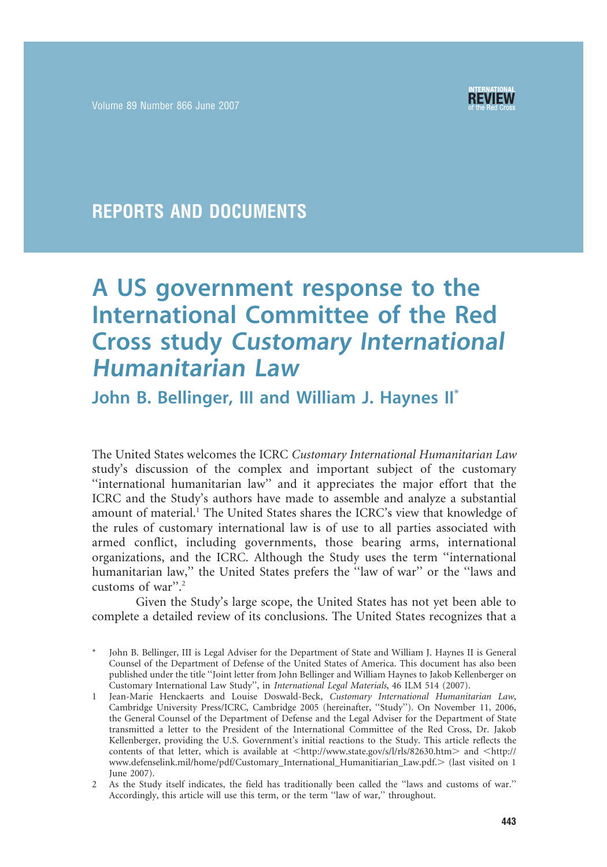

Volume 89 Number 866 June 2007

# REPORTS AND DOCUMENTS

# A US government response to the International Committee of the Red Cross study Customary International Humanitarian Law

# John B. Bellinger, III and William J. Haynes II\*

The United States welcomes the ICRC Customary International Humanitarian Law study's discussion of the complex and important subject of the customary ''international humanitarian law'' and it appreciates the major effort that the ICRC and the Study's authors have made to assemble and analyze a substantial amount of material.<sup>1</sup> The United States shares the ICRC's view that knowledge of the rules of customary international law is of use to all parties associated with armed conflict, including governments, those bearing arms, international organizations, and the ICRC. Although the Study uses the term ''international humanitarian law,'' the United States prefers the ''law of war'' or the ''laws and customs of war''.2

Given the Study's large scope, the United States has not yet been able to complete a detailed review of its conclusions. The United States recognizes that a

<sup>\*</sup> John B. Bellinger, III is Legal Adviser for the Department of State and William J. Haynes II is General Counsel of the Department of Defense of the United States of America. This document has also been published under the title ''Joint letter from John Bellinger and William Haynes to Jakob Kellenberger on Customary International Law Study'', in International Legal Materials, 46 ILM 514 (2007).

<sup>1</sup> Jean-Marie Henckaerts and Louise Doswald-Beck, Customary International Humanitarian Law, Cambridge University Press/ICRC, Cambridge 2005 (hereinafter, ''Study''). On November 11, 2006, the General Counsel of the Department of Defense and the Legal Adviser for the Department of State transmitted a letter to the President of the International Committee of the Red Cross, Dr. Jakob Kellenberger, providing the U.S. Government's initial reactions to the Study. This article reflects the contents of that letter, which is available at <http://www.state.gov/s/l/rls/82630.htm> and <http:// www.defenselink.mil/home/pdf/Customary International Humanitiarian Law.pdf.> (last visited on 1 June 2007).

<sup>2</sup> As the Study itself indicates, the field has traditionally been called the ''laws and customs of war.'' Accordingly, this article will use this term, or the term ''law of war,'' throughout.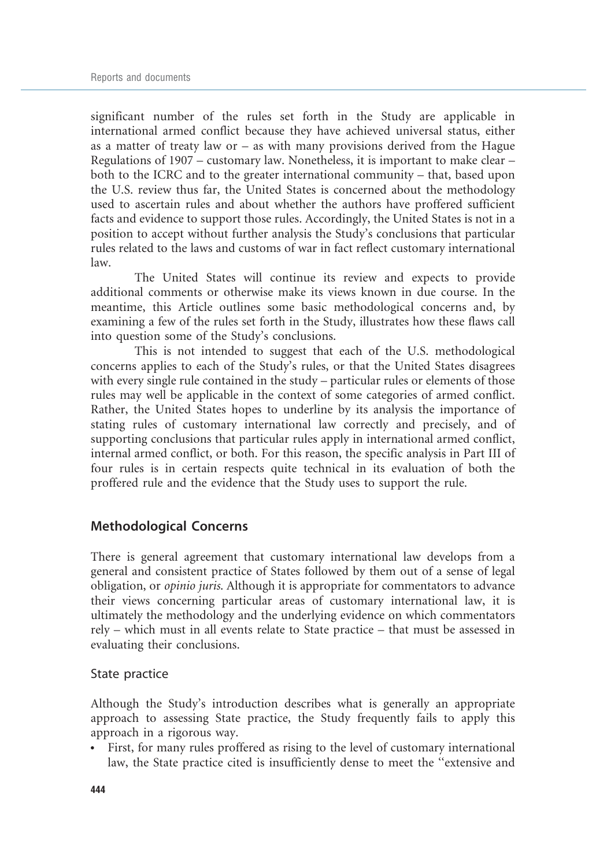significant number of the rules set forth in the Study are applicable in international armed conflict because they have achieved universal status, either as a matter of treaty law or – as with many provisions derived from the Hague Regulations of 1907 – customary law. Nonetheless, it is important to make clear – both to the ICRC and to the greater international community – that, based upon the U.S. review thus far, the United States is concerned about the methodology used to ascertain rules and about whether the authors have proffered sufficient facts and evidence to support those rules. Accordingly, the United States is not in a position to accept without further analysis the Study's conclusions that particular rules related to the laws and customs of war in fact reflect customary international law.

The United States will continue its review and expects to provide additional comments or otherwise make its views known in due course. In the meantime, this Article outlines some basic methodological concerns and, by examining a few of the rules set forth in the Study, illustrates how these flaws call into question some of the Study's conclusions.

This is not intended to suggest that each of the U.S. methodological concerns applies to each of the Study's rules, or that the United States disagrees with every single rule contained in the study – particular rules or elements of those rules may well be applicable in the context of some categories of armed conflict. Rather, the United States hopes to underline by its analysis the importance of stating rules of customary international law correctly and precisely, and of supporting conclusions that particular rules apply in international armed conflict, internal armed conflict, or both. For this reason, the specific analysis in Part III of four rules is in certain respects quite technical in its evaluation of both the proffered rule and the evidence that the Study uses to support the rule.

#### Methodological Concerns

There is general agreement that customary international law develops from a general and consistent practice of States followed by them out of a sense of legal obligation, or opinio juris. Although it is appropriate for commentators to advance their views concerning particular areas of customary international law, it is ultimately the methodology and the underlying evidence on which commentators rely – which must in all events relate to State practice – that must be assessed in evaluating their conclusions.

#### State practice

Although the Study's introduction describes what is generally an appropriate approach to assessing State practice, the Study frequently fails to apply this approach in a rigorous way.

• First, for many rules proffered as rising to the level of customary international law, the State practice cited is insufficiently dense to meet the ''extensive and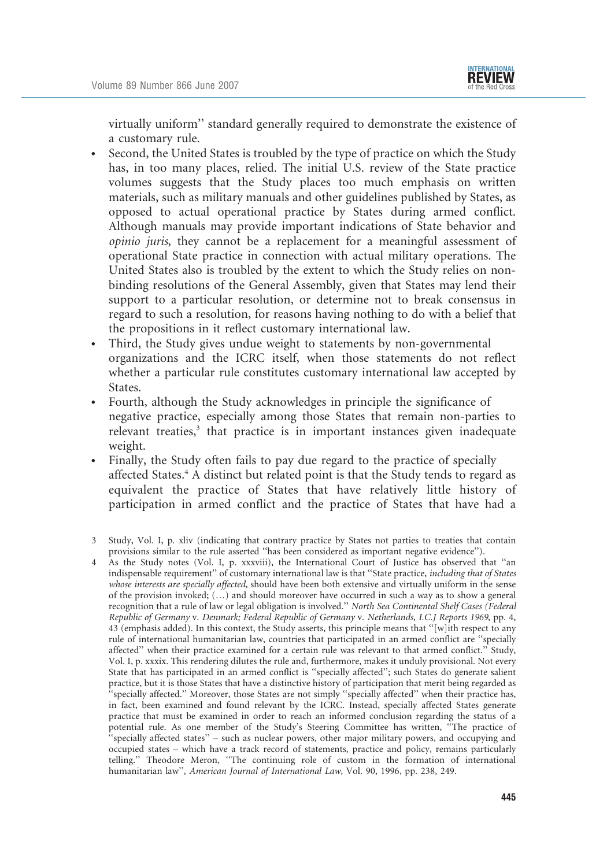

virtually uniform'' standard generally required to demonstrate the existence of a customary rule.

- Second, the United States is troubled by the type of practice on which the Study has, in too many places, relied. The initial U.S. review of the State practice volumes suggests that the Study places too much emphasis on written materials, such as military manuals and other guidelines published by States, as opposed to actual operational practice by States during armed conflict. Although manuals may provide important indications of State behavior and opinio juris, they cannot be a replacement for a meaningful assessment of operational State practice in connection with actual military operations. The United States also is troubled by the extent to which the Study relies on nonbinding resolutions of the General Assembly, given that States may lend their support to a particular resolution, or determine not to break consensus in regard to such a resolution, for reasons having nothing to do with a belief that the propositions in it reflect customary international law.
- Third, the Study gives undue weight to statements by non-governmental organizations and the ICRC itself, when those statements do not reflect whether a particular rule constitutes customary international law accepted by States.
- Fourth, although the Study acknowledges in principle the significance of negative practice, especially among those States that remain non-parties to relevant treaties,<sup>3</sup> that practice is in important instances given inadequate weight.
- Finally, the Study often fails to pay due regard to the practice of specially affected States.<sup>4</sup> A distinct but related point is that the Study tends to regard as equivalent the practice of States that have relatively little history of participation in armed conflict and the practice of States that have had a
- 3 Study, Vol. I, p. xliv (indicating that contrary practice by States not parties to treaties that contain provisions similar to the rule asserted ''has been considered as important negative evidence'').
- 4 As the Study notes (Vol. I, p. xxxviii), the International Court of Justice has observed that ''an indispensable requirement'' of customary international law is that ''State practice, including that of States whose interests are specially affected, should have been both extensive and virtually uniform in the sense of the provision invoked; (…) and should moreover have occurred in such a way as to show a general recognition that a rule of law or legal obligation is involved.'' North Sea Continental Shelf Cases (Federal Republic of Germany v. Denmark; Federal Republic of Germany v. Netherlands, I.C.J Reports 1969, pp. 4, 43 (emphasis added). In this context, the Study asserts, this principle means that ''[w]ith respect to any rule of international humanitarian law, countries that participated in an armed conflict are ''specially affected'' when their practice examined for a certain rule was relevant to that armed conflict.'' Study, Vol. I, p. xxxix. This rendering dilutes the rule and, furthermore, makes it unduly provisional. Not every State that has participated in an armed conflict is ''specially affected''; such States do generate salient practice, but it is those States that have a distinctive history of participation that merit being regarded as ''specially affected.'' Moreover, those States are not simply ''specially affected'' when their practice has, in fact, been examined and found relevant by the ICRC. Instead, specially affected States generate practice that must be examined in order to reach an informed conclusion regarding the status of a potential rule. As one member of the Study's Steering Committee has written, ''The practice of 'specially affected states" – such as nuclear powers, other major military powers, and occupying and occupied states – which have a track record of statements, practice and policy, remains particularly telling.'' Theodore Meron, ''The continuing role of custom in the formation of international humanitarian law'', American Journal of International Law, Vol. 90, 1996, pp. 238, 249.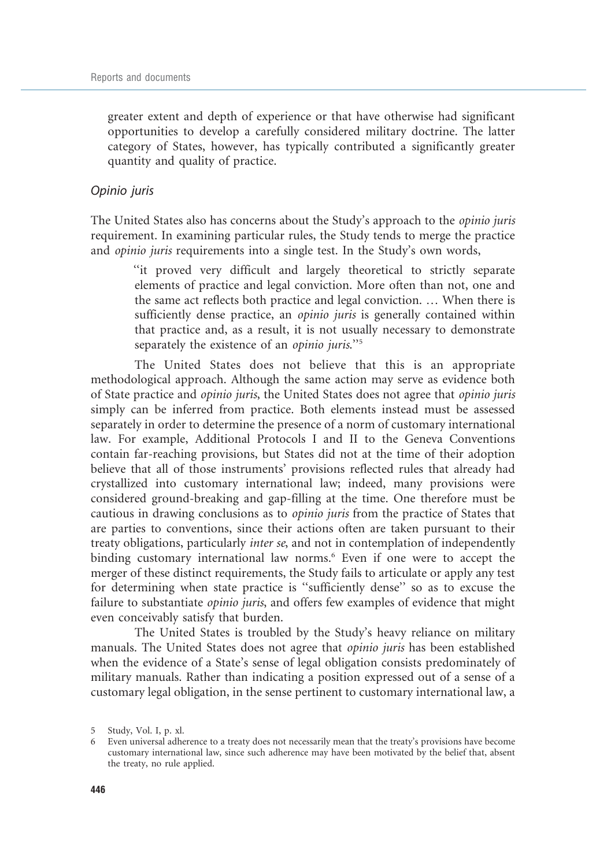greater extent and depth of experience or that have otherwise had significant opportunities to develop a carefully considered military doctrine. The latter category of States, however, has typically contributed a significantly greater quantity and quality of practice.

#### Opinio juris

The United States also has concerns about the Study's approach to the opinio juris requirement. In examining particular rules, the Study tends to merge the practice and opinio juris requirements into a single test. In the Study's own words,

> ''it proved very difficult and largely theoretical to strictly separate elements of practice and legal conviction. More often than not, one and the same act reflects both practice and legal conviction. … When there is sufficiently dense practice, an opinio juris is generally contained within that practice and, as a result, it is not usually necessary to demonstrate separately the existence of an *opinio juris*."<sup>5</sup>

The United States does not believe that this is an appropriate methodological approach. Although the same action may serve as evidence both of State practice and opinio juris, the United States does not agree that opinio juris simply can be inferred from practice. Both elements instead must be assessed separately in order to determine the presence of a norm of customary international law. For example, Additional Protocols I and II to the Geneva Conventions contain far-reaching provisions, but States did not at the time of their adoption believe that all of those instruments' provisions reflected rules that already had crystallized into customary international law; indeed, many provisions were considered ground-breaking and gap-filling at the time. One therefore must be cautious in drawing conclusions as to opinio juris from the practice of States that are parties to conventions, since their actions often are taken pursuant to their treaty obligations, particularly inter se, and not in contemplation of independently binding customary international law norms.<sup>6</sup> Even if one were to accept the merger of these distinct requirements, the Study fails to articulate or apply any test for determining when state practice is ''sufficiently dense'' so as to excuse the failure to substantiate opinio juris, and offers few examples of evidence that might even conceivably satisfy that burden.

The United States is troubled by the Study's heavy reliance on military manuals. The United States does not agree that opinio juris has been established when the evidence of a State's sense of legal obligation consists predominately of military manuals. Rather than indicating a position expressed out of a sense of a customary legal obligation, in the sense pertinent to customary international law, a

<sup>5</sup> Study, Vol. I, p. xl.

<sup>6</sup> Even universal adherence to a treaty does not necessarily mean that the treaty's provisions have become customary international law, since such adherence may have been motivated by the belief that, absent the treaty, no rule applied.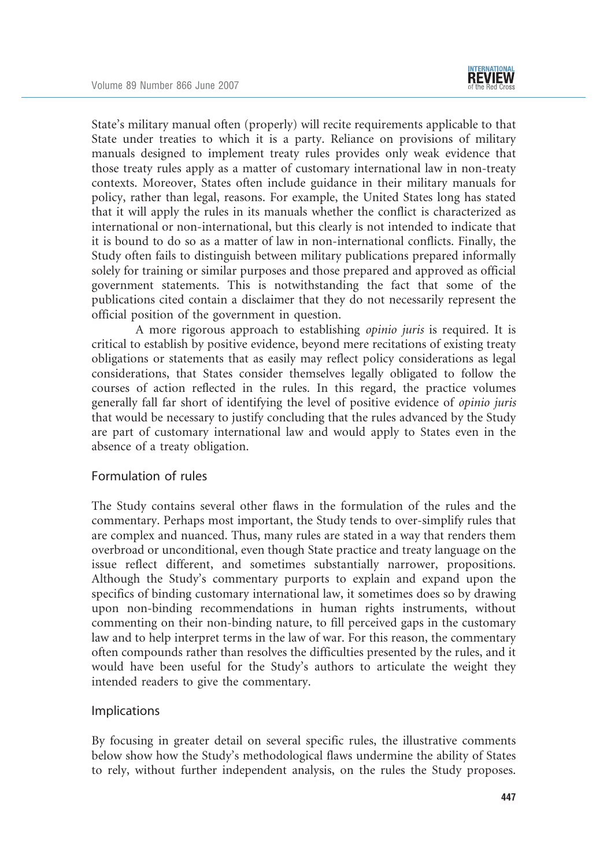

State's military manual often (properly) will recite requirements applicable to that State under treaties to which it is a party. Reliance on provisions of military manuals designed to implement treaty rules provides only weak evidence that those treaty rules apply as a matter of customary international law in non-treaty contexts. Moreover, States often include guidance in their military manuals for policy, rather than legal, reasons. For example, the United States long has stated that it will apply the rules in its manuals whether the conflict is characterized as international or non-international, but this clearly is not intended to indicate that it is bound to do so as a matter of law in non-international conflicts. Finally, the Study often fails to distinguish between military publications prepared informally solely for training or similar purposes and those prepared and approved as official government statements. This is notwithstanding the fact that some of the publications cited contain a disclaimer that they do not necessarily represent the official position of the government in question.

A more rigorous approach to establishing opinio juris is required. It is critical to establish by positive evidence, beyond mere recitations of existing treaty obligations or statements that as easily may reflect policy considerations as legal considerations, that States consider themselves legally obligated to follow the courses of action reflected in the rules. In this regard, the practice volumes generally fall far short of identifying the level of positive evidence of opinio juris that would be necessary to justify concluding that the rules advanced by the Study are part of customary international law and would apply to States even in the absence of a treaty obligation.

#### Formulation of rules

The Study contains several other flaws in the formulation of the rules and the commentary. Perhaps most important, the Study tends to over-simplify rules that are complex and nuanced. Thus, many rules are stated in a way that renders them overbroad or unconditional, even though State practice and treaty language on the issue reflect different, and sometimes substantially narrower, propositions. Although the Study's commentary purports to explain and expand upon the specifics of binding customary international law, it sometimes does so by drawing upon non-binding recommendations in human rights instruments, without commenting on their non-binding nature, to fill perceived gaps in the customary law and to help interpret terms in the law of war. For this reason, the commentary often compounds rather than resolves the difficulties presented by the rules, and it would have been useful for the Study's authors to articulate the weight they intended readers to give the commentary.

#### Implications

By focusing in greater detail on several specific rules, the illustrative comments below show how the Study's methodological flaws undermine the ability of States to rely, without further independent analysis, on the rules the Study proposes.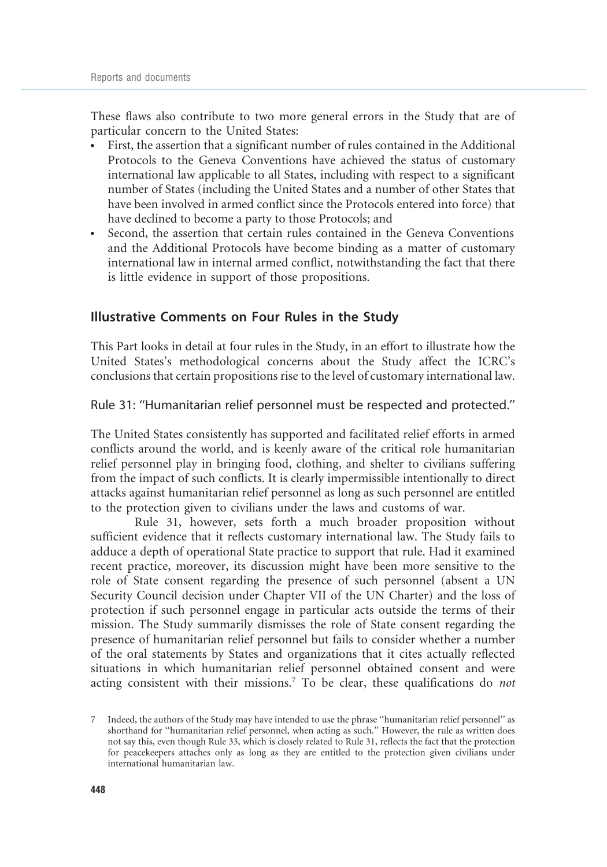These flaws also contribute to two more general errors in the Study that are of particular concern to the United States:

- N First, the assertion that a significant number of rules contained in the Additional Protocols to the Geneva Conventions have achieved the status of customary international law applicable to all States, including with respect to a significant number of States (including the United States and a number of other States that have been involved in armed conflict since the Protocols entered into force) that have declined to become a party to those Protocols; and
- Second, the assertion that certain rules contained in the Geneva Conventions and the Additional Protocols have become binding as a matter of customary international law in internal armed conflict, notwithstanding the fact that there is little evidence in support of those propositions.

# Illustrative Comments on Four Rules in the Study

This Part looks in detail at four rules in the Study, in an effort to illustrate how the United States's methodological concerns about the Study affect the ICRC's conclusions that certain propositions rise to the level of customary international law.

#### Rule 31: ''Humanitarian relief personnel must be respected and protected.''

The United States consistently has supported and facilitated relief efforts in armed conflicts around the world, and is keenly aware of the critical role humanitarian relief personnel play in bringing food, clothing, and shelter to civilians suffering from the impact of such conflicts. It is clearly impermissible intentionally to direct attacks against humanitarian relief personnel as long as such personnel are entitled to the protection given to civilians under the laws and customs of war.

Rule 31, however, sets forth a much broader proposition without sufficient evidence that it reflects customary international law. The Study fails to adduce a depth of operational State practice to support that rule. Had it examined recent practice, moreover, its discussion might have been more sensitive to the role of State consent regarding the presence of such personnel (absent a UN Security Council decision under Chapter VII of the UN Charter) and the loss of protection if such personnel engage in particular acts outside the terms of their mission. The Study summarily dismisses the role of State consent regarding the presence of humanitarian relief personnel but fails to consider whether a number of the oral statements by States and organizations that it cites actually reflected situations in which humanitarian relief personnel obtained consent and were acting consistent with their missions.<sup>7</sup> To be clear, these qualifications do not

<sup>7</sup> Indeed, the authors of the Study may have intended to use the phrase ''humanitarian relief personnel'' as shorthand for "humanitarian relief personnel, when acting as such." However, the rule as written does not say this, even though Rule 33, which is closely related to Rule 31, reflects the fact that the protection for peacekeepers attaches only as long as they are entitled to the protection given civilians under international humanitarian law.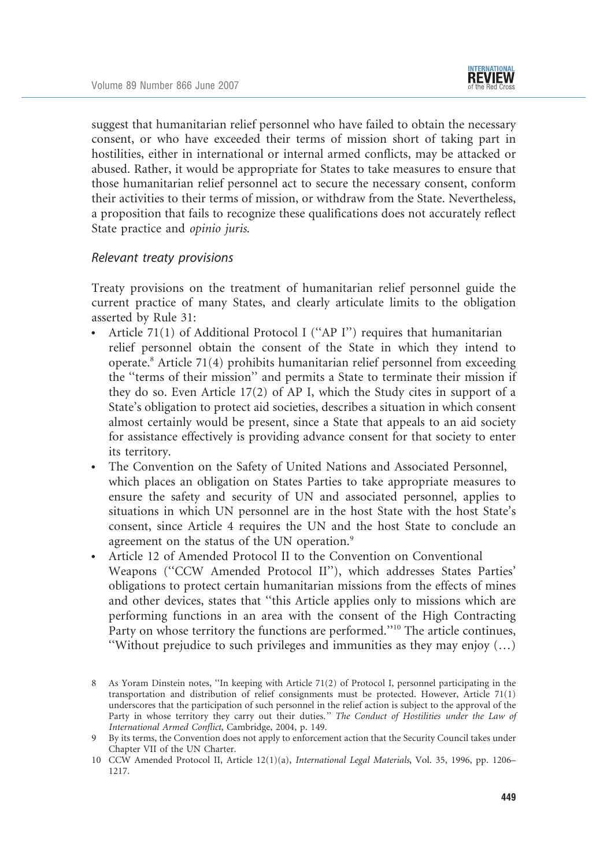suggest that humanitarian relief personnel who have failed to obtain the necessary consent, or who have exceeded their terms of mission short of taking part in hostilities, either in international or internal armed conflicts, may be attacked or abused. Rather, it would be appropriate for States to take measures to ensure that those humanitarian relief personnel act to secure the necessary consent, conform their activities to their terms of mission, or withdraw from the State. Nevertheless, a proposition that fails to recognize these qualifications does not accurately reflect State practice and opinio juris.

# Relevant treaty provisions

Treaty provisions on the treatment of humanitarian relief personnel guide the current practice of many States, and clearly articulate limits to the obligation asserted by Rule 31:

- Article 71(1) of Additional Protocol I ("AP I") requires that humanitarian relief personnel obtain the consent of the State in which they intend to operate.8 Article 71(4) prohibits humanitarian relief personnel from exceeding the ''terms of their mission'' and permits a State to terminate their mission if they do so. Even Article 17(2) of AP I, which the Study cites in support of a State's obligation to protect aid societies, describes a situation in which consent almost certainly would be present, since a State that appeals to an aid society for assistance effectively is providing advance consent for that society to enter its territory.
- The Convention on the Safety of United Nations and Associated Personnel, which places an obligation on States Parties to take appropriate measures to ensure the safety and security of UN and associated personnel, applies to situations in which UN personnel are in the host State with the host State's consent, since Article 4 requires the UN and the host State to conclude an agreement on the status of the UN operation.<sup>9</sup>
- Article 12 of Amended Protocol II to the Convention on Conventional Weapons (''CCW Amended Protocol II''), which addresses States Parties' obligations to protect certain humanitarian missions from the effects of mines and other devices, states that ''this Article applies only to missions which are performing functions in an area with the consent of the High Contracting Party on whose territory the functions are performed."<sup>10</sup> The article continues, ''Without prejudice to such privileges and immunities as they may enjoy (…)

<sup>8</sup> As Yoram Dinstein notes, ''In keeping with Article 71(2) of Protocol I, personnel participating in the transportation and distribution of relief consignments must be protected. However, Article 71(1) underscores that the participation of such personnel in the relief action is subject to the approval of the Party in whose territory they carry out their duties." The Conduct of Hostilities under the Law of International Armed Conflict, Cambridge, 2004, p. 149.

<sup>9</sup> By its terms, the Convention does not apply to enforcement action that the Security Council takes under Chapter VII of the UN Charter.

<sup>10</sup> CCW Amended Protocol II, Article 12(1)(a), International Legal Materials, Vol. 35, 1996, pp. 1206– 1217.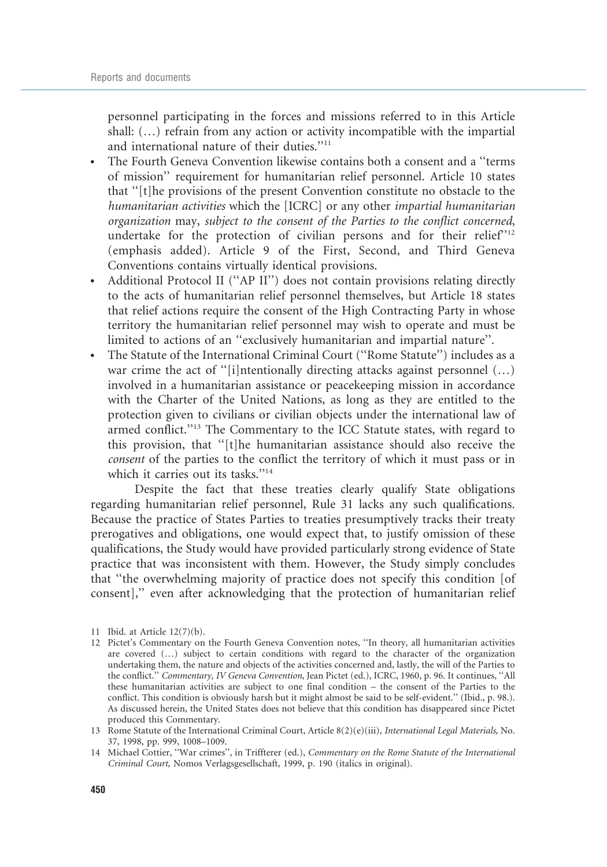personnel participating in the forces and missions referred to in this Article shall: (…) refrain from any action or activity incompatible with the impartial and international nature of their duties.''11

- The Fourth Geneva Convention likewise contains both a consent and a "terms" of mission'' requirement for humanitarian relief personnel. Article 10 states that ''[t]he provisions of the present Convention constitute no obstacle to the humanitarian activities which the [ICRC] or any other impartial humanitarian organization may, subject to the consent of the Parties to the conflict concerned, undertake for the protection of civilian persons and for their relief"<sup>12</sup> (emphasis added). Article 9 of the First, Second, and Third Geneva Conventions contains virtually identical provisions.
- Additional Protocol II ("AP II") does not contain provisions relating directly to the acts of humanitarian relief personnel themselves, but Article 18 states that relief actions require the consent of the High Contracting Party in whose territory the humanitarian relief personnel may wish to operate and must be limited to actions of an ''exclusively humanitarian and impartial nature''.
- The Statute of the International Criminal Court ("Rome Statute") includes as a war crime the act of "[i]ntentionally directing attacks against personnel (...) involved in a humanitarian assistance or peacekeeping mission in accordance with the Charter of the United Nations, as long as they are entitled to the protection given to civilians or civilian objects under the international law of armed conflict."<sup>13</sup> The Commentary to the ICC Statute states, with regard to this provision, that ''[t]he humanitarian assistance should also receive the consent of the parties to the conflict the territory of which it must pass or in which it carries out its tasks."<sup>14</sup>

Despite the fact that these treaties clearly qualify State obligations regarding humanitarian relief personnel, Rule 31 lacks any such qualifications. Because the practice of States Parties to treaties presumptively tracks their treaty prerogatives and obligations, one would expect that, to justify omission of these qualifications, the Study would have provided particularly strong evidence of State practice that was inconsistent with them. However, the Study simply concludes that ''the overwhelming majority of practice does not specify this condition [of consent],'' even after acknowledging that the protection of humanitarian relief

<sup>11</sup> Ibid. at Article 12(7)(b).

<sup>12</sup> Pictet's Commentary on the Fourth Geneva Convention notes, ''In theory, all humanitarian activities are covered (…) subject to certain conditions with regard to the character of the organization undertaking them, the nature and objects of the activities concerned and, lastly, the will of the Parties to the conflict.'' Commentary, IV Geneva Convention, Jean Pictet (ed.), ICRC, 1960, p. 96. It continues, ''All these humanitarian activities are subject to one final condition – the consent of the Parties to the conflict. This condition is obviously harsh but it might almost be said to be self-evident.'' (Ibid., p. 98.). As discussed herein, the United States does not believe that this condition has disappeared since Pictet produced this Commentary.

<sup>13</sup> Rome Statute of the International Criminal Court, Article 8(2)(e)(iii), International Legal Materials, No. 37, 1998, pp. 999, 1008–1009.

<sup>14</sup> Michael Cottier, ''War crimes'', in Triffterer (ed.), Commentary on the Rome Statute of the International Criminal Court, Nomos Verlagsgesellschaft, 1999, p. 190 (italics in original).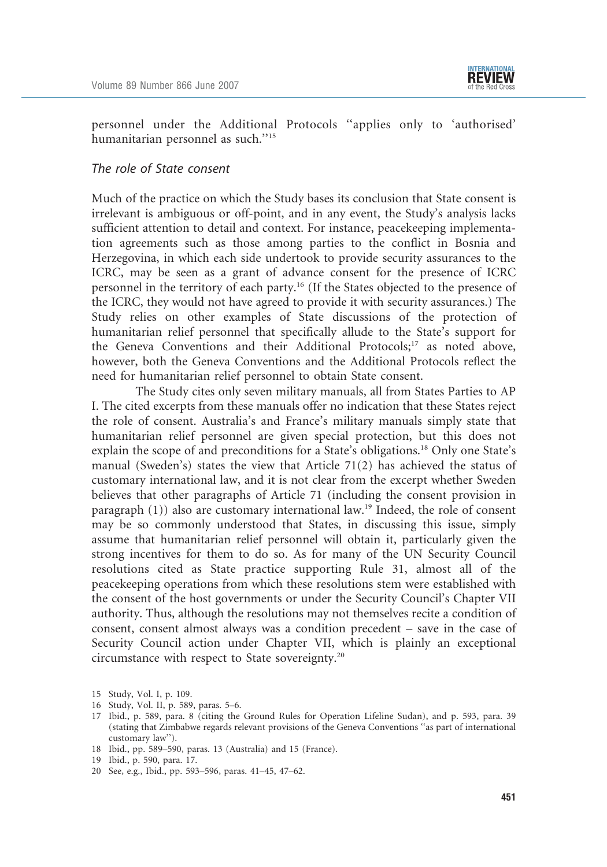

personnel under the Additional Protocols ''applies only to 'authorised' humanitarian personnel as such.''15

## The role of State consent

Much of the practice on which the Study bases its conclusion that State consent is irrelevant is ambiguous or off-point, and in any event, the Study's analysis lacks sufficient attention to detail and context. For instance, peacekeeping implementation agreements such as those among parties to the conflict in Bosnia and Herzegovina, in which each side undertook to provide security assurances to the ICRC, may be seen as a grant of advance consent for the presence of ICRC personnel in the territory of each party.16 (If the States objected to the presence of the ICRC, they would not have agreed to provide it with security assurances.) The Study relies on other examples of State discussions of the protection of humanitarian relief personnel that specifically allude to the State's support for the Geneva Conventions and their Additional Protocols;<sup>17</sup> as noted above, however, both the Geneva Conventions and the Additional Protocols reflect the need for humanitarian relief personnel to obtain State consent.

The Study cites only seven military manuals, all from States Parties to AP I. The cited excerpts from these manuals offer no indication that these States reject the role of consent. Australia's and France's military manuals simply state that humanitarian relief personnel are given special protection, but this does not explain the scope of and preconditions for a State's obligations.18 Only one State's manual (Sweden's) states the view that Article 71(2) has achieved the status of customary international law, and it is not clear from the excerpt whether Sweden believes that other paragraphs of Article 71 (including the consent provision in paragraph (1)) also are customary international law.19 Indeed, the role of consent may be so commonly understood that States, in discussing this issue, simply assume that humanitarian relief personnel will obtain it, particularly given the strong incentives for them to do so. As for many of the UN Security Council resolutions cited as State practice supporting Rule 31, almost all of the peacekeeping operations from which these resolutions stem were established with the consent of the host governments or under the Security Council's Chapter VII authority. Thus, although the resolutions may not themselves recite a condition of consent, consent almost always was a condition precedent – save in the case of Security Council action under Chapter VII, which is plainly an exceptional circumstance with respect to State sovereignty.20

<sup>15</sup> Study, Vol. I, p. 109.

<sup>16</sup> Study, Vol. II, p. 589, paras. 5–6.

<sup>17</sup> Ibid., p. 589, para. 8 (citing the Ground Rules for Operation Lifeline Sudan), and p. 593, para. 39 (stating that Zimbabwe regards relevant provisions of the Geneva Conventions ''as part of international customary law'').

<sup>18</sup> Ibid., pp. 589–590, paras. 13 (Australia) and 15 (France).

<sup>19</sup> Ibid., p. 590, para. 17.

<sup>20</sup> See, e.g., Ibid., pp. 593–596, paras. 41–45, 47–62.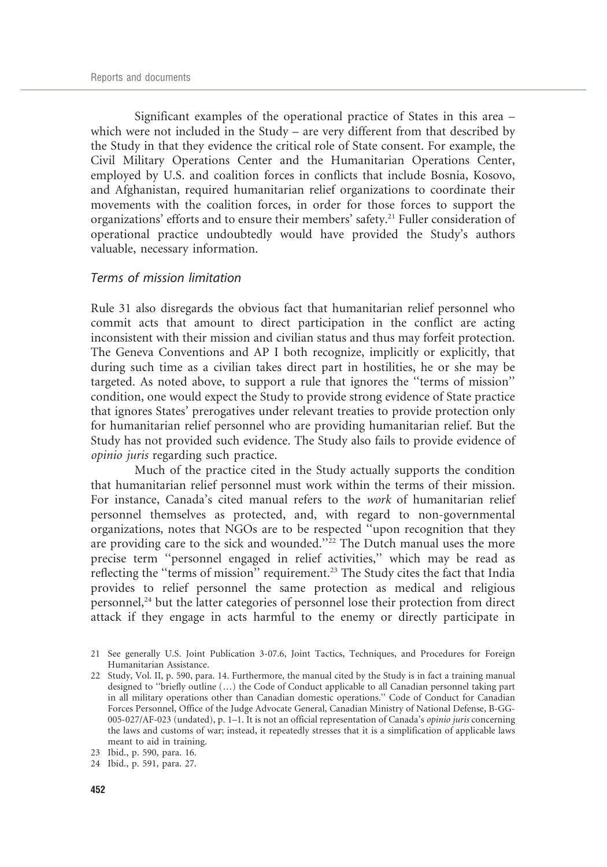Significant examples of the operational practice of States in this area – which were not included in the Study – are very different from that described by the Study in that they evidence the critical role of State consent. For example, the Civil Military Operations Center and the Humanitarian Operations Center, employed by U.S. and coalition forces in conflicts that include Bosnia, Kosovo, and Afghanistan, required humanitarian relief organizations to coordinate their movements with the coalition forces, in order for those forces to support the organizations' efforts and to ensure their members' safety.<sup>21</sup> Fuller consideration of operational practice undoubtedly would have provided the Study's authors valuable, necessary information.

# Terms of mission limitation

Rule 31 also disregards the obvious fact that humanitarian relief personnel who commit acts that amount to direct participation in the conflict are acting inconsistent with their mission and civilian status and thus may forfeit protection. The Geneva Conventions and AP I both recognize, implicitly or explicitly, that during such time as a civilian takes direct part in hostilities, he or she may be targeted. As noted above, to support a rule that ignores the ''terms of mission'' condition, one would expect the Study to provide strong evidence of State practice that ignores States' prerogatives under relevant treaties to provide protection only for humanitarian relief personnel who are providing humanitarian relief. But the Study has not provided such evidence. The Study also fails to provide evidence of opinio juris regarding such practice.

Much of the practice cited in the Study actually supports the condition that humanitarian relief personnel must work within the terms of their mission. For instance, Canada's cited manual refers to the work of humanitarian relief personnel themselves as protected, and, with regard to non-governmental organizations, notes that NGOs are to be respected ''upon recognition that they are providing care to the sick and wounded."<sup>22</sup> The Dutch manual uses the more precise term ''personnel engaged in relief activities,'' which may be read as reflecting the "terms of mission" requirement.<sup>23</sup> The Study cites the fact that India provides to relief personnel the same protection as medical and religious personnel,<sup>24</sup> but the latter categories of personnel lose their protection from direct attack if they engage in acts harmful to the enemy or directly participate in

<sup>21</sup> See generally U.S. Joint Publication 3-07.6, Joint Tactics, Techniques, and Procedures for Foreign Humanitarian Assistance.

<sup>22</sup> Study, Vol. II, p. 590, para. 14. Furthermore, the manual cited by the Study is in fact a training manual designed to ''briefly outline (…) the Code of Conduct applicable to all Canadian personnel taking part in all military operations other than Canadian domestic operations.'' Code of Conduct for Canadian Forces Personnel, Office of the Judge Advocate General, Canadian Ministry of National Defense, B-GG-005-027/AF-023 (undated), p. 1–1. It is not an official representation of Canada's opinio juris concerning the laws and customs of war; instead, it repeatedly stresses that it is a simplification of applicable laws meant to aid in training.

<sup>23</sup> Ibid., p. 590, para. 16.

<sup>24</sup> Ibid., p. 591, para. 27.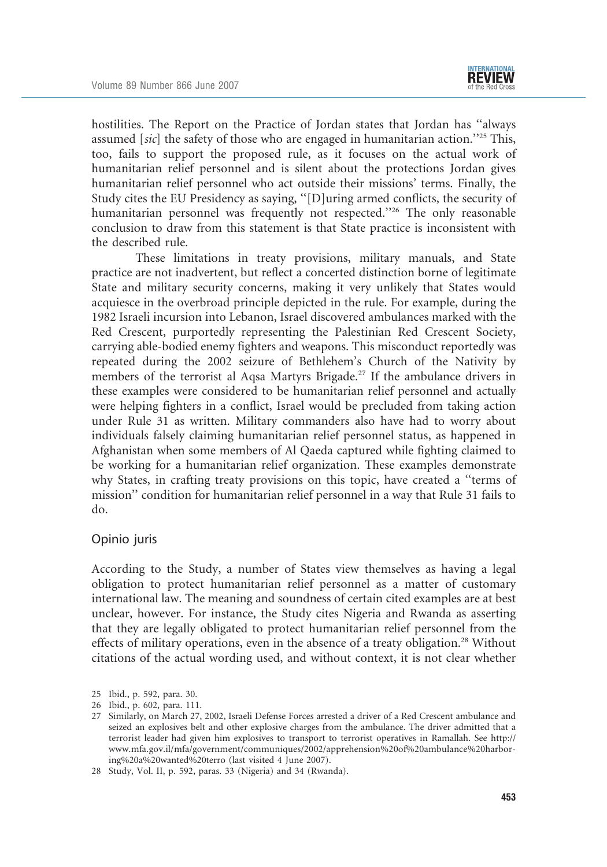hostilities. The Report on the Practice of Jordan states that Jordan has ''always assumed [sic] the safety of those who are engaged in humanitarian action."25 This, too, fails to support the proposed rule, as it focuses on the actual work of humanitarian relief personnel and is silent about the protections Jordan gives humanitarian relief personnel who act outside their missions' terms. Finally, the Study cites the EU Presidency as saying, ''[D]uring armed conflicts, the security of humanitarian personnel was frequently not respected."<sup>26</sup> The only reasonable conclusion to draw from this statement is that State practice is inconsistent with the described rule.

These limitations in treaty provisions, military manuals, and State practice are not inadvertent, but reflect a concerted distinction borne of legitimate State and military security concerns, making it very unlikely that States would acquiesce in the overbroad principle depicted in the rule. For example, during the 1982 Israeli incursion into Lebanon, Israel discovered ambulances marked with the Red Crescent, purportedly representing the Palestinian Red Crescent Society, carrying able-bodied enemy fighters and weapons. This misconduct reportedly was repeated during the 2002 seizure of Bethlehem's Church of the Nativity by members of the terrorist al Aqsa Martyrs Brigade.<sup>27</sup> If the ambulance drivers in these examples were considered to be humanitarian relief personnel and actually were helping fighters in a conflict, Israel would be precluded from taking action under Rule 31 as written. Military commanders also have had to worry about individuals falsely claiming humanitarian relief personnel status, as happened in Afghanistan when some members of Al Qaeda captured while fighting claimed to be working for a humanitarian relief organization. These examples demonstrate why States, in crafting treaty provisions on this topic, have created a ''terms of mission'' condition for humanitarian relief personnel in a way that Rule 31 fails to do.

#### Opinio juris

According to the Study, a number of States view themselves as having a legal obligation to protect humanitarian relief personnel as a matter of customary international law. The meaning and soundness of certain cited examples are at best unclear, however. For instance, the Study cites Nigeria and Rwanda as asserting that they are legally obligated to protect humanitarian relief personnel from the effects of military operations, even in the absence of a treaty obligation.<sup>28</sup> Without citations of the actual wording used, and without context, it is not clear whether

<sup>25</sup> Ibid., p. 592, para. 30.

<sup>26</sup> Ibid., p. 602, para. 111.

<sup>27</sup> Similarly, on March 27, 2002, Israeli Defense Forces arrested a driver of a Red Crescent ambulance and seized an explosives belt and other explosive charges from the ambulance. The driver admitted that a terrorist leader had given him explosives to transport to terrorist operatives in Ramallah. See http:// www.mfa.gov.il/mfa/government/communiques/2002/apprehension%20of%20ambulance%20harboring%20a%20wanted%20terro (last visited 4 June 2007).

<sup>28</sup> Study, Vol. II, p. 592, paras. 33 (Nigeria) and 34 (Rwanda).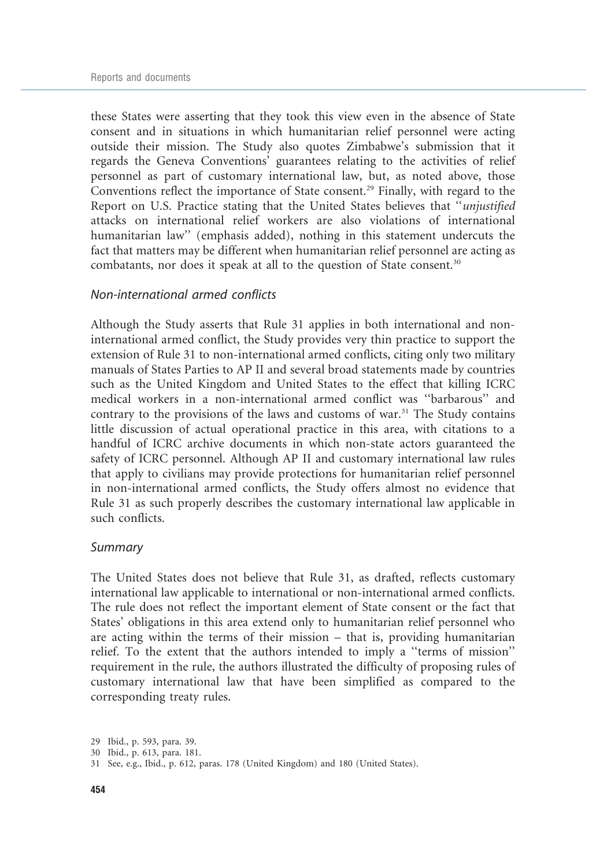these States were asserting that they took this view even in the absence of State consent and in situations in which humanitarian relief personnel were acting outside their mission. The Study also quotes Zimbabwe's submission that it regards the Geneva Conventions' guarantees relating to the activities of relief personnel as part of customary international law, but, as noted above, those Conventions reflect the importance of State consent.<sup>29</sup> Finally, with regard to the Report on U.S. Practice stating that the United States believes that ''unjustified attacks on international relief workers are also violations of international humanitarian law'' (emphasis added), nothing in this statement undercuts the fact that matters may be different when humanitarian relief personnel are acting as combatants, nor does it speak at all to the question of State consent.<sup>30</sup>

#### Non-international armed conflicts

Although the Study asserts that Rule 31 applies in both international and noninternational armed conflict, the Study provides very thin practice to support the extension of Rule 31 to non-international armed conflicts, citing only two military manuals of States Parties to AP II and several broad statements made by countries such as the United Kingdom and United States to the effect that killing ICRC medical workers in a non-international armed conflict was ''barbarous'' and contrary to the provisions of the laws and customs of war. $31$  The Study contains little discussion of actual operational practice in this area, with citations to a handful of ICRC archive documents in which non-state actors guaranteed the safety of ICRC personnel. Although AP II and customary international law rules that apply to civilians may provide protections for humanitarian relief personnel in non-international armed conflicts, the Study offers almost no evidence that Rule 31 as such properly describes the customary international law applicable in such conflicts.

#### Summary

The United States does not believe that Rule 31, as drafted, reflects customary international law applicable to international or non-international armed conflicts. The rule does not reflect the important element of State consent or the fact that States' obligations in this area extend only to humanitarian relief personnel who are acting within the terms of their mission – that is, providing humanitarian relief. To the extent that the authors intended to imply a ''terms of mission'' requirement in the rule, the authors illustrated the difficulty of proposing rules of customary international law that have been simplified as compared to the corresponding treaty rules.

<sup>29</sup> Ibid., p. 593, para. 39.

<sup>30</sup> Ibid., p. 613, para. 181.

<sup>31</sup> See, e.g., Ibid., p. 612, paras. 178 (United Kingdom) and 180 (United States).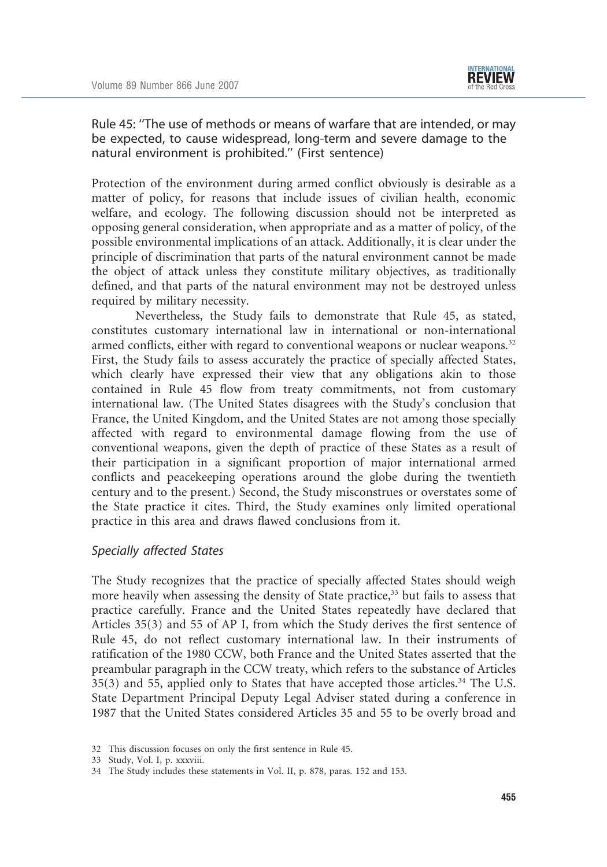

Rule 45: ''The use of methods or means of warfare that are intended, or may be expected, to cause widespread, long-term and severe damage to the natural environment is prohibited.'' (First sentence)

Protection of the environment during armed conflict obviously is desirable as a matter of policy, for reasons that include issues of civilian health, economic welfare, and ecology. The following discussion should not be interpreted as opposing general consideration, when appropriate and as a matter of policy, of the possible environmental implications of an attack. Additionally, it is clear under the principle of discrimination that parts of the natural environment cannot be made the object of attack unless they constitute military objectives, as traditionally defined, and that parts of the natural environment may not be destroyed unless required by military necessity.

Nevertheless, the Study fails to demonstrate that Rule 45, as stated, constitutes customary international law in international or non-international armed conflicts, either with regard to conventional weapons or nuclear weapons.<sup>32</sup> First, the Study fails to assess accurately the practice of specially affected States, which clearly have expressed their view that any obligations akin to those contained in Rule 45 flow from treaty commitments, not from customary international law. (The United States disagrees with the Study's conclusion that France, the United Kingdom, and the United States are not among those specially affected with regard to environmental damage flowing from the use of conventional weapons, given the depth of practice of these States as a result of their participation in a significant proportion of major international armed conflicts and peacekeeping operations around the globe during the twentieth century and to the present.) Second, the Study misconstrues or overstates some of the State practice it cites. Third, the Study examines only limited operational practice in this area and draws flawed conclusions from it.

# Specially affected States

The Study recognizes that the practice of specially affected States should weigh more heavily when assessing the density of State practice,<sup>33</sup> but fails to assess that practice carefully. France and the United States repeatedly have declared that Articles 35(3) and 55 of AP I, from which the Study derives the first sentence of Rule 45, do not reflect customary international law. In their instruments of ratification of the 1980 CCW, both France and the United States asserted that the preambular paragraph in the CCW treaty, which refers to the substance of Articles  $35(3)$  and 55, applied only to States that have accepted those articles.<sup>34</sup> The U.S. State Department Principal Deputy Legal Adviser stated during a conference in 1987 that the United States considered Articles 35 and 55 to be overly broad and

<sup>32</sup> This discussion focuses on only the first sentence in Rule 45.

<sup>33</sup> Study, Vol. I, p. xxxviii.

<sup>34</sup> The Study includes these statements in Vol. II, p. 878, paras. 152 and 153.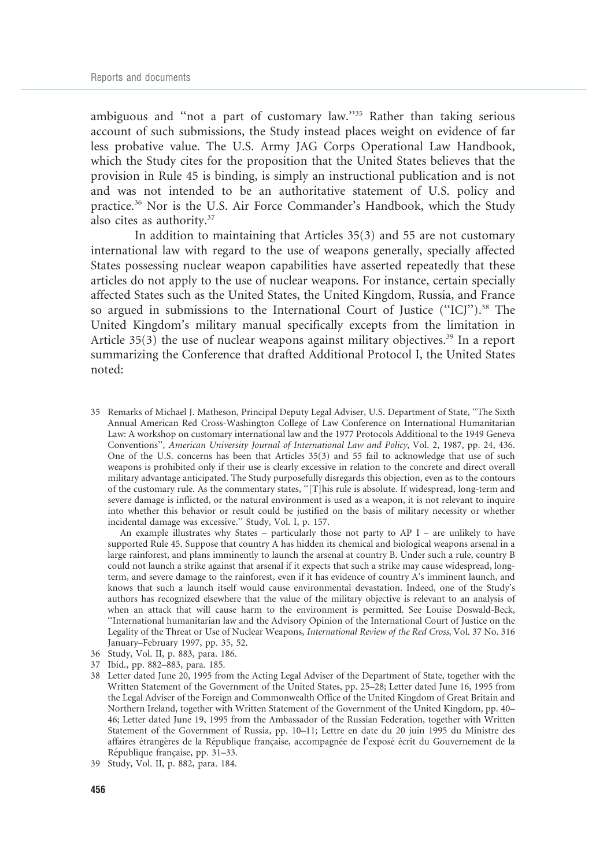ambiguous and ''not a part of customary law.''35 Rather than taking serious account of such submissions, the Study instead places weight on evidence of far less probative value. The U.S. Army JAG Corps Operational Law Handbook, which the Study cites for the proposition that the United States believes that the provision in Rule 45 is binding, is simply an instructional publication and is not and was not intended to be an authoritative statement of U.S. policy and practice.36 Nor is the U.S. Air Force Commander's Handbook, which the Study also cites as authority.37

In addition to maintaining that Articles 35(3) and 55 are not customary international law with regard to the use of weapons generally, specially affected States possessing nuclear weapon capabilities have asserted repeatedly that these articles do not apply to the use of nuclear weapons. For instance, certain specially affected States such as the United States, the United Kingdom, Russia, and France so argued in submissions to the International Court of Justice ("ICJ").<sup>38</sup> The United Kingdom's military manual specifically excepts from the limitation in Article  $35(3)$  the use of nuclear weapons against military objectives.<sup>39</sup> In a report summarizing the Conference that drafted Additional Protocol I, the United States noted:

35 Remarks of Michael J. Matheson, Principal Deputy Legal Adviser, U.S. Department of State, ''The Sixth Annual American Red Cross-Washington College of Law Conference on International Humanitarian Law: A workshop on customary international law and the 1977 Protocols Additional to the 1949 Geneva Conventions'', American University Journal of International Law and Policy, Vol. 2, 1987, pp. 24, 436. One of the U.S. concerns has been that Articles 35(3) and 55 fail to acknowledge that use of such weapons is prohibited only if their use is clearly excessive in relation to the concrete and direct overall military advantage anticipated. The Study purposefully disregards this objection, even as to the contours of the customary rule. As the commentary states, ''[T]his rule is absolute. If widespread, long-term and severe damage is inflicted, or the natural environment is used as a weapon, it is not relevant to inquire into whether this behavior or result could be justified on the basis of military necessity or whether incidental damage was excessive.'' Study, Vol. I, p. 157.

An example illustrates why States – particularly those not party to AP I – are unlikely to have supported Rule 45. Suppose that country A has hidden its chemical and biological weapons arsenal in a large rainforest, and plans imminently to launch the arsenal at country B. Under such a rule, country B could not launch a strike against that arsenal if it expects that such a strike may cause widespread, longterm, and severe damage to the rainforest, even if it has evidence of country A's imminent launch, and knows that such a launch itself would cause environmental devastation. Indeed, one of the Study's authors has recognized elsewhere that the value of the military objective is relevant to an analysis of when an attack that will cause harm to the environment is permitted. See Louise Doswald-Beck, ''International humanitarian law and the Advisory Opinion of the International Court of Justice on the Legality of the Threat or Use of Nuclear Weapons, International Review of the Red Cross, Vol. 37 No. 316 January–February 1997, pp. 35, 52.

- 36 Study, Vol. II, p. 883, para. 186.
- 37 Ibid., pp. 882–883, para. 185.
- 38 Letter dated June 20, 1995 from the Acting Legal Adviser of the Department of State, together with the Written Statement of the Government of the United States, pp. 25–28; Letter dated June 16, 1995 from the Legal Adviser of the Foreign and Commonwealth Office of the United Kingdom of Great Britain and Northern Ireland, together with Written Statement of the Government of the United Kingdom, pp. 40– 46; Letter dated June 19, 1995 from the Ambassador of the Russian Federation, together with Written Statement of the Government of Russia, pp. 10–11; Lettre en date du 20 juin 1995 du Ministre des affaires étrangères de la République française, accompagnée de l'exposé écrit du Gouvernement de la République française, pp. 31–33.
- 39 Study, Vol. II, p. 882, para. 184.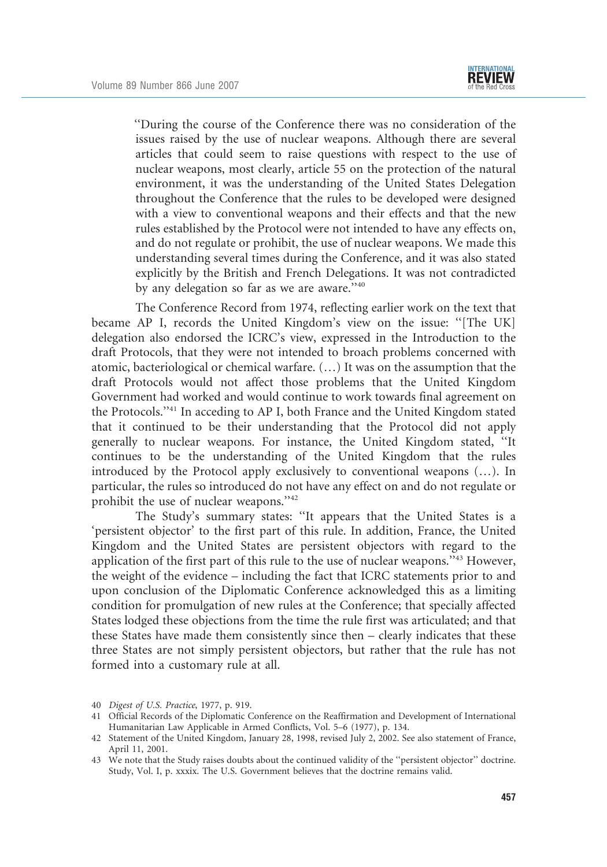

''During the course of the Conference there was no consideration of the issues raised by the use of nuclear weapons. Although there are several articles that could seem to raise questions with respect to the use of nuclear weapons, most clearly, article 55 on the protection of the natural environment, it was the understanding of the United States Delegation throughout the Conference that the rules to be developed were designed with a view to conventional weapons and their effects and that the new rules established by the Protocol were not intended to have any effects on, and do not regulate or prohibit, the use of nuclear weapons. We made this understanding several times during the Conference, and it was also stated explicitly by the British and French Delegations. It was not contradicted by any delegation so far as we are aware.''40

The Conference Record from 1974, reflecting earlier work on the text that became AP I, records the United Kingdom's view on the issue: ''[The UK] delegation also endorsed the ICRC's view, expressed in the Introduction to the draft Protocols, that they were not intended to broach problems concerned with atomic, bacteriological or chemical warfare. (…) It was on the assumption that the draft Protocols would not affect those problems that the United Kingdom Government had worked and would continue to work towards final agreement on the Protocols.''41 In acceding to AP I, both France and the United Kingdom stated that it continued to be their understanding that the Protocol did not apply generally to nuclear weapons. For instance, the United Kingdom stated, ''It continues to be the understanding of the United Kingdom that the rules introduced by the Protocol apply exclusively to conventional weapons (…). In particular, the rules so introduced do not have any effect on and do not regulate or prohibit the use of nuclear weapons."<sup>42</sup>

The Study's summary states: ''It appears that the United States is a 'persistent objector' to the first part of this rule. In addition, France, the United Kingdom and the United States are persistent objectors with regard to the application of the first part of this rule to the use of nuclear weapons.''43 However, the weight of the evidence – including the fact that ICRC statements prior to and upon conclusion of the Diplomatic Conference acknowledged this as a limiting condition for promulgation of new rules at the Conference; that specially affected States lodged these objections from the time the rule first was articulated; and that these States have made them consistently since then – clearly indicates that these three States are not simply persistent objectors, but rather that the rule has not formed into a customary rule at all.

<sup>40</sup> Digest of U.S. Practice, 1977, p. 919.

<sup>41</sup> Official Records of the Diplomatic Conference on the Reaffirmation and Development of International Humanitarian Law Applicable in Armed Conflicts, Vol. 5–6 (1977), p. 134.

<sup>42</sup> Statement of the United Kingdom, January 28, 1998, revised July 2, 2002. See also statement of France, April 11, 2001.

<sup>43</sup> We note that the Study raises doubts about the continued validity of the ''persistent objector'' doctrine. Study, Vol. I, p. xxxix. The U.S. Government believes that the doctrine remains valid.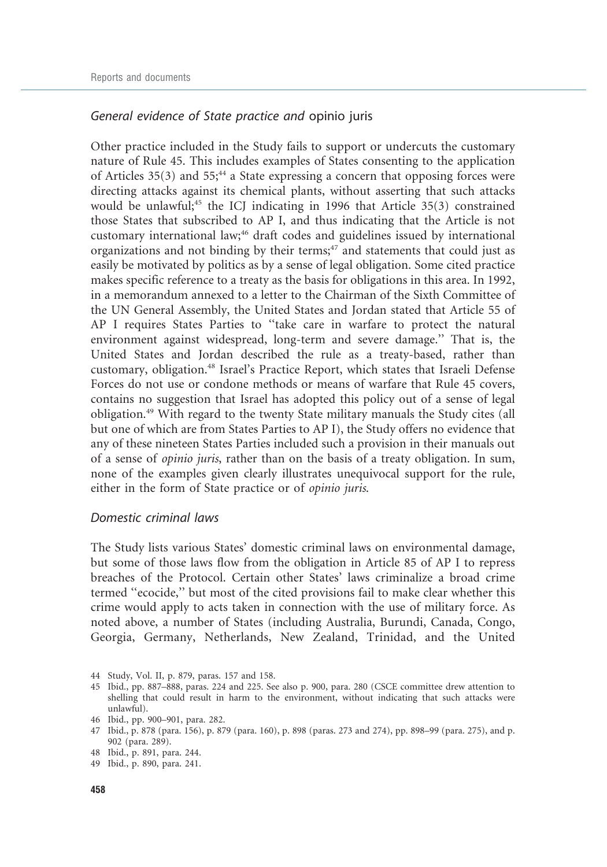# General evidence of State practice and opinio juris

Other practice included in the Study fails to support or undercuts the customary nature of Rule 45. This includes examples of States consenting to the application of Articles  $35(3)$  and  $55$ ;<sup>44</sup> a State expressing a concern that opposing forces were directing attacks against its chemical plants, without asserting that such attacks would be unlawful;<sup>45</sup> the ICJ indicating in 1996 that Article  $35(3)$  constrained those States that subscribed to AP I, and thus indicating that the Article is not customary international law;<sup>46</sup> draft codes and guidelines issued by international organizations and not binding by their terms; $47$  and statements that could just as easily be motivated by politics as by a sense of legal obligation. Some cited practice makes specific reference to a treaty as the basis for obligations in this area. In 1992, in a memorandum annexed to a letter to the Chairman of the Sixth Committee of the UN General Assembly, the United States and Jordan stated that Article 55 of AP I requires States Parties to ''take care in warfare to protect the natural environment against widespread, long-term and severe damage.'' That is, the United States and Jordan described the rule as a treaty-based, rather than customary, obligation.48 Israel's Practice Report, which states that Israeli Defense Forces do not use or condone methods or means of warfare that Rule 45 covers, contains no suggestion that Israel has adopted this policy out of a sense of legal obligation.49 With regard to the twenty State military manuals the Study cites (all but one of which are from States Parties to AP I), the Study offers no evidence that any of these nineteen States Parties included such a provision in their manuals out of a sense of opinio juris, rather than on the basis of a treaty obligation. In sum, none of the examples given clearly illustrates unequivocal support for the rule, either in the form of State practice or of opinio juris.

#### Domestic criminal laws

The Study lists various States' domestic criminal laws on environmental damage, but some of those laws flow from the obligation in Article 85 of AP I to repress breaches of the Protocol. Certain other States' laws criminalize a broad crime termed ''ecocide,'' but most of the cited provisions fail to make clear whether this crime would apply to acts taken in connection with the use of military force. As noted above, a number of States (including Australia, Burundi, Canada, Congo, Georgia, Germany, Netherlands, New Zealand, Trinidad, and the United

44 Study, Vol. II, p. 879, paras. 157 and 158.

<sup>45</sup> Ibid., pp. 887–888, paras. 224 and 225. See also p. 900, para. 280 (CSCE committee drew attention to shelling that could result in harm to the environment, without indicating that such attacks were unlawful).

<sup>46</sup> Ibid., pp. 900–901, para. 282.

<sup>47</sup> Ibid., p. 878 (para. 156), p. 879 (para. 160), p. 898 (paras. 273 and 274), pp. 898–99 (para. 275), and p. 902 (para. 289).

<sup>48</sup> Ibid., p. 891, para. 244.

<sup>49</sup> Ibid., p. 890, para. 241.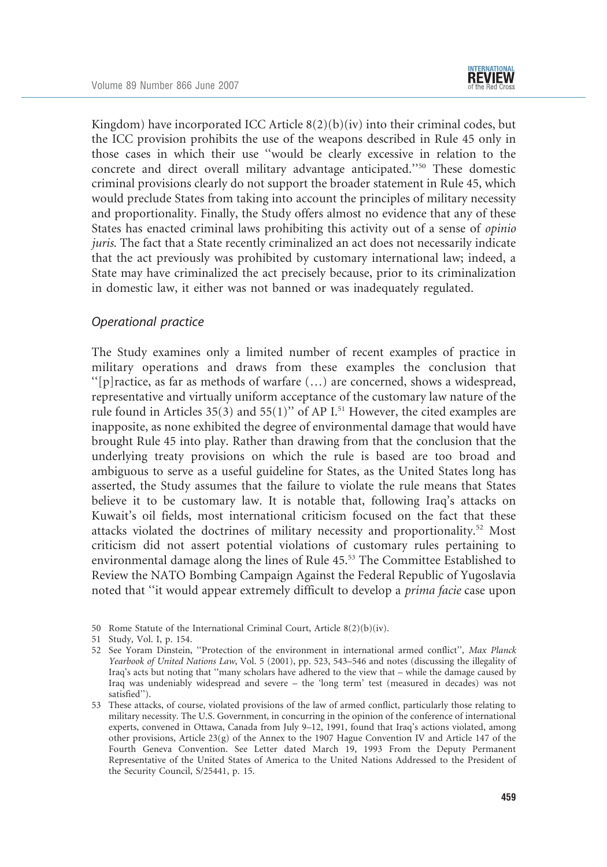

Kingdom) have incorporated ICC Article  $8(2)(b)(iv)$  into their criminal codes, but the ICC provision prohibits the use of the weapons described in Rule 45 only in those cases in which their use ''would be clearly excessive in relation to the concrete and direct overall military advantage anticipated.''50 These domestic criminal provisions clearly do not support the broader statement in Rule 45, which would preclude States from taking into account the principles of military necessity and proportionality. Finally, the Study offers almost no evidence that any of these States has enacted criminal laws prohibiting this activity out of a sense of opinio juris. The fact that a State recently criminalized an act does not necessarily indicate that the act previously was prohibited by customary international law; indeed, a State may have criminalized the act precisely because, prior to its criminalization in domestic law, it either was not banned or was inadequately regulated.

# Operational practice

The Study examines only a limited number of recent examples of practice in military operations and draws from these examples the conclusion that  $\lq$ <sup>''</sup>[p] ractice, as far as methods of warfare  $\ldots$  are concerned, shows a widespread, representative and virtually uniform acceptance of the customary law nature of the rule found in Articles 35(3) and 55(1)" of AP  $L^{51}$  However, the cited examples are inapposite, as none exhibited the degree of environmental damage that would have brought Rule 45 into play. Rather than drawing from that the conclusion that the underlying treaty provisions on which the rule is based are too broad and ambiguous to serve as a useful guideline for States, as the United States long has asserted, the Study assumes that the failure to violate the rule means that States believe it to be customary law. It is notable that, following Iraq's attacks on Kuwait's oil fields, most international criticism focused on the fact that these attacks violated the doctrines of military necessity and proportionality.52 Most criticism did not assert potential violations of customary rules pertaining to environmental damage along the lines of Rule 45.<sup>53</sup> The Committee Established to Review the NATO Bombing Campaign Against the Federal Republic of Yugoslavia noted that ''it would appear extremely difficult to develop a prima facie case upon

<sup>50</sup> Rome Statute of the International Criminal Court, Article 8(2)(b)(iv).

<sup>51</sup> Study, Vol. I, p. 154.

<sup>52</sup> See Yoram Dinstein, ''Protection of the environment in international armed conflict'', Max Planck Yearbook of United Nations Law, Vol. 5 (2001), pp. 523, 543–546 and notes (discussing the illegality of Iraq's acts but noting that ''many scholars have adhered to the view that – while the damage caused by Iraq was undeniably widespread and severe – the 'long term' test (measured in decades) was not satisfied'').

<sup>53</sup> These attacks, of course, violated provisions of the law of armed conflict, particularly those relating to military necessity. The U.S. Government, in concurring in the opinion of the conference of international experts, convened in Ottawa, Canada from July 9–12, 1991, found that Iraq's actions violated, among other provisions, Article 23(g) of the Annex to the 1907 Hague Convention IV and Article 147 of the Fourth Geneva Convention. See Letter dated March 19, 1993 From the Deputy Permanent Representative of the United States of America to the United Nations Addressed to the President of the Security Council, S/25441, p. 15.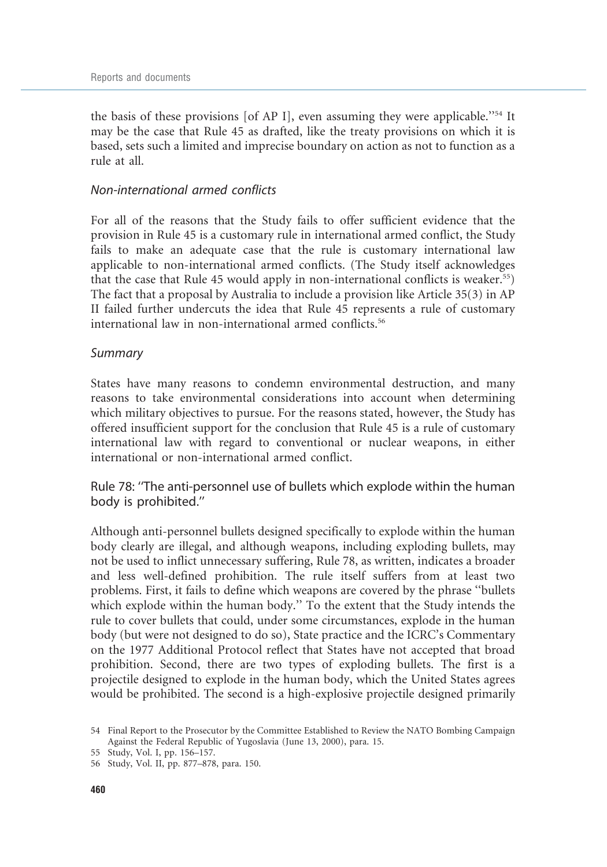the basis of these provisions [of AP I], even assuming they were applicable.''54 It may be the case that Rule 45 as drafted, like the treaty provisions on which it is based, sets such a limited and imprecise boundary on action as not to function as a rule at all.

#### Non-international armed conflicts

For all of the reasons that the Study fails to offer sufficient evidence that the provision in Rule 45 is a customary rule in international armed conflict, the Study fails to make an adequate case that the rule is customary international law applicable to non-international armed conflicts. (The Study itself acknowledges that the case that Rule 45 would apply in non-international conflicts is weaker.<sup>55</sup>) The fact that a proposal by Australia to include a provision like Article 35(3) in AP II failed further undercuts the idea that Rule 45 represents a rule of customary international law in non-international armed conflicts.<sup>56</sup>

#### **Summary**

States have many reasons to condemn environmental destruction, and many reasons to take environmental considerations into account when determining which military objectives to pursue. For the reasons stated, however, the Study has offered insufficient support for the conclusion that Rule 45 is a rule of customary international law with regard to conventional or nuclear weapons, in either international or non-international armed conflict.

# Rule 78: ''The anti-personnel use of bullets which explode within the human body is prohibited.''

Although anti-personnel bullets designed specifically to explode within the human body clearly are illegal, and although weapons, including exploding bullets, may not be used to inflict unnecessary suffering, Rule 78, as written, indicates a broader and less well-defined prohibition. The rule itself suffers from at least two problems. First, it fails to define which weapons are covered by the phrase ''bullets which explode within the human body.'' To the extent that the Study intends the rule to cover bullets that could, under some circumstances, explode in the human body (but were not designed to do so), State practice and the ICRC's Commentary on the 1977 Additional Protocol reflect that States have not accepted that broad prohibition. Second, there are two types of exploding bullets. The first is a projectile designed to explode in the human body, which the United States agrees would be prohibited. The second is a high-explosive projectile designed primarily

<sup>54</sup> Final Report to the Prosecutor by the Committee Established to Review the NATO Bombing Campaign Against the Federal Republic of Yugoslavia (June 13, 2000), para. 15.

<sup>55</sup> Study, Vol. I, pp. 156–157.

<sup>56</sup> Study, Vol. II, pp. 877–878, para. 150.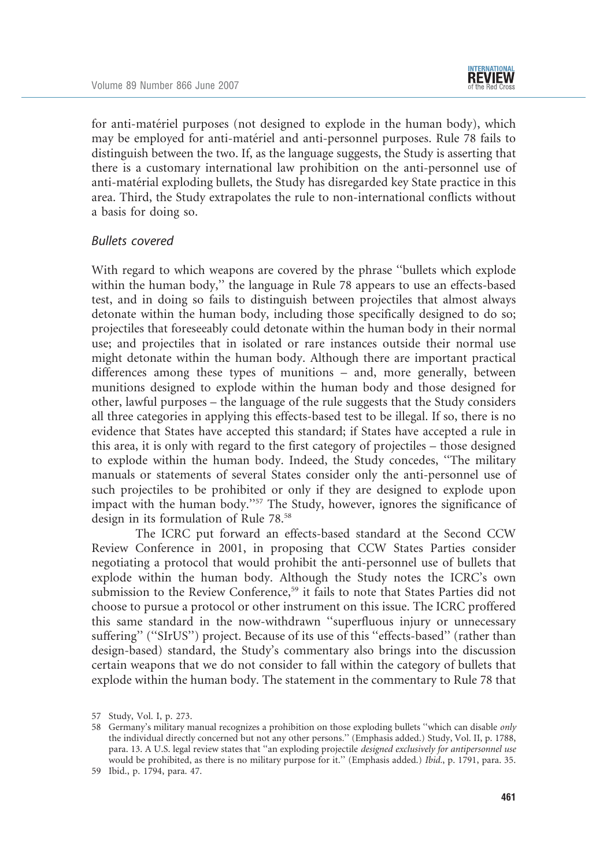for anti-matériel purposes (not designed to explode in the human body), which may be employed for anti-matériel and anti-personnel purposes. Rule 78 fails to distinguish between the two. If, as the language suggests, the Study is asserting that there is a customary international law prohibition on the anti-personnel use of anti-matérial exploding bullets, the Study has disregarded key State practice in this area. Third, the Study extrapolates the rule to non-international conflicts without a basis for doing so.

#### Bullets covered

With regard to which weapons are covered by the phrase ''bullets which explode within the human body," the language in Rule 78 appears to use an effects-based test, and in doing so fails to distinguish between projectiles that almost always detonate within the human body, including those specifically designed to do so; projectiles that foreseeably could detonate within the human body in their normal use; and projectiles that in isolated or rare instances outside their normal use might detonate within the human body. Although there are important practical differences among these types of munitions – and, more generally, between munitions designed to explode within the human body and those designed for other, lawful purposes – the language of the rule suggests that the Study considers all three categories in applying this effects-based test to be illegal. If so, there is no evidence that States have accepted this standard; if States have accepted a rule in this area, it is only with regard to the first category of projectiles – those designed to explode within the human body. Indeed, the Study concedes, ''The military manuals or statements of several States consider only the anti-personnel use of such projectiles to be prohibited or only if they are designed to explode upon impact with the human body."<sup>57</sup> The Study, however, ignores the significance of design in its formulation of Rule 78.58

The ICRC put forward an effects-based standard at the Second CCW Review Conference in 2001, in proposing that CCW States Parties consider negotiating a protocol that would prohibit the anti-personnel use of bullets that explode within the human body. Although the Study notes the ICRC's own submission to the Review Conference,<sup>59</sup> it fails to note that States Parties did not choose to pursue a protocol or other instrument on this issue. The ICRC proffered this same standard in the now-withdrawn ''superfluous injury or unnecessary suffering" ("SIrUS") project. Because of its use of this "effects-based" (rather than design-based) standard, the Study's commentary also brings into the discussion certain weapons that we do not consider to fall within the category of bullets that explode within the human body. The statement in the commentary to Rule 78 that

<sup>57</sup> Study, Vol. I, p. 273.

<sup>58</sup> Germany's military manual recognizes a prohibition on those exploding bullets ''which can disable only the individual directly concerned but not any other persons.'' (Emphasis added.) Study, Vol. II, p. 1788, para. 13. A U.S. legal review states that ''an exploding projectile designed exclusively for antipersonnel use would be prohibited, as there is no military purpose for it.'' (Emphasis added.) Ibid., p. 1791, para. 35.

<sup>59</sup> Ibid., p. 1794, para. 47.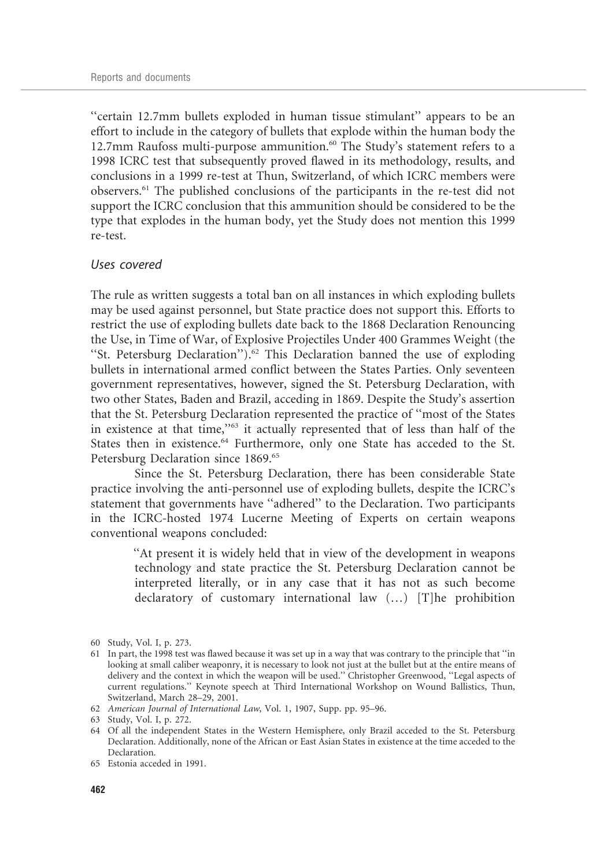''certain 12.7mm bullets exploded in human tissue stimulant'' appears to be an effort to include in the category of bullets that explode within the human body the 12.7mm Raufoss multi-purpose ammunition.<sup>60</sup> The Study's statement refers to a 1998 ICRC test that subsequently proved flawed in its methodology, results, and conclusions in a 1999 re-test at Thun, Switzerland, of which ICRC members were observers.61 The published conclusions of the participants in the re-test did not support the ICRC conclusion that this ammunition should be considered to be the type that explodes in the human body, yet the Study does not mention this 1999 re-test.

#### Uses covered

The rule as written suggests a total ban on all instances in which exploding bullets may be used against personnel, but State practice does not support this. Efforts to restrict the use of exploding bullets date back to the 1868 Declaration Renouncing the Use, in Time of War, of Explosive Projectiles Under 400 Grammes Weight (the "St. Petersburg Declaration").<sup>62</sup> This Declaration banned the use of exploding bullets in international armed conflict between the States Parties. Only seventeen government representatives, however, signed the St. Petersburg Declaration, with two other States, Baden and Brazil, acceding in 1869. Despite the Study's assertion that the St. Petersburg Declaration represented the practice of ''most of the States in existence at that time,''63 it actually represented that of less than half of the States then in existence.<sup>64</sup> Furthermore, only one State has acceded to the St. Petersburg Declaration since 1869.<sup>65</sup>

Since the St. Petersburg Declaration, there has been considerable State practice involving the anti-personnel use of exploding bullets, despite the ICRC's statement that governments have ''adhered'' to the Declaration. Two participants in the ICRC-hosted 1974 Lucerne Meeting of Experts on certain weapons conventional weapons concluded:

> ''At present it is widely held that in view of the development in weapons technology and state practice the St. Petersburg Declaration cannot be interpreted literally, or in any case that it has not as such become declaratory of customary international law (…) [T]he prohibition

<sup>60</sup> Study, Vol. I, p. 273.

<sup>61</sup> In part, the 1998 test was flawed because it was set up in a way that was contrary to the principle that ''in looking at small caliber weaponry, it is necessary to look not just at the bullet but at the entire means of delivery and the context in which the weapon will be used.'' Christopher Greenwood, ''Legal aspects of current regulations.'' Keynote speech at Third International Workshop on Wound Ballistics, Thun, Switzerland, March 28–29, 2001.

<sup>62</sup> American Journal of International Law, Vol. 1, 1907, Supp. pp. 95–96.

<sup>63</sup> Study, Vol. I, p. 272.

<sup>64</sup> Of all the independent States in the Western Hemisphere, only Brazil acceded to the St. Petersburg Declaration. Additionally, none of the African or East Asian States in existence at the time acceded to the Declaration.

<sup>65</sup> Estonia acceded in 1991.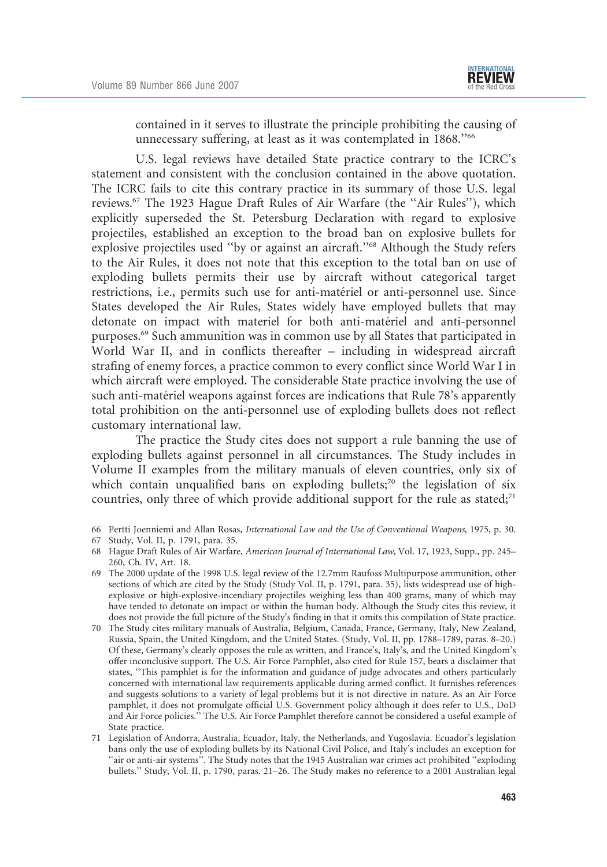

contained in it serves to illustrate the principle prohibiting the causing of unnecessary suffering, at least as it was contemplated in 1868."66

U.S. legal reviews have detailed State practice contrary to the ICRC's statement and consistent with the conclusion contained in the above quotation. The ICRC fails to cite this contrary practice in its summary of those U.S. legal reviews.67 The 1923 Hague Draft Rules of Air Warfare (the ''Air Rules''), which explicitly superseded the St. Petersburg Declaration with regard to explosive projectiles, established an exception to the broad ban on explosive bullets for explosive projectiles used "by or against an aircraft."<sup>68</sup> Although the Study refers to the Air Rules, it does not note that this exception to the total ban on use of exploding bullets permits their use by aircraft without categorical target restrictions, i.e., permits such use for anti-matériel or anti-personnel use. Since States developed the Air Rules, States widely have employed bullets that may detonate on impact with materiel for both anti-matériel and anti-personnel purposes.69 Such ammunition was in common use by all States that participated in World War II, and in conflicts thereafter – including in widespread aircraft strafing of enemy forces, a practice common to every conflict since World War I in which aircraft were employed. The considerable State practice involving the use of such anti-matériel weapons against forces are indications that Rule 78's apparently total prohibition on the anti-personnel use of exploding bullets does not reflect customary international law.

The practice the Study cites does not support a rule banning the use of exploding bullets against personnel in all circumstances. The Study includes in Volume II examples from the military manuals of eleven countries, only six of which contain unqualified bans on exploding bullets;<sup>70</sup> the legislation of six countries, only three of which provide additional support for the rule as stated; $71$ 

- 66 Pertti Joenniemi and Allan Rosas, International Law and the Use of Conventional Weapons, 1975, p. 30.
- 67 Study, Vol. II, p. 1791, para. 35.
- 68 Hague Draft Rules of Air Warfare, American Journal of International Law, Vol. 17, 1923, Supp., pp. 245– 260, Ch. IV, Art. 18.
- 69 The 2000 update of the 1998 U.S. legal review of the 12.7mm Raufoss Multipurpose ammunition, other sections of which are cited by the Study (Study Vol. II, p. 1791, para. 35), lists widespread use of highexplosive or high-explosive-incendiary projectiles weighing less than 400 grams, many of which may have tended to detonate on impact or within the human body. Although the Study cites this review, it does not provide the full picture of the Study's finding in that it omits this compilation of State practice.
- 70 The Study cites military manuals of Australia, Belgium, Canada, France, Germany, Italy, New Zealand, Russia, Spain, the United Kingdom, and the United States. (Study, Vol. II, pp. 1788–1789, paras. 8–20.) Of these, Germany's clearly opposes the rule as written, and France's, Italy's, and the United Kingdom's offer inconclusive support. The U.S. Air Force Pamphlet, also cited for Rule 157, bears a disclaimer that states, ''This pamphlet is for the information and guidance of judge advocates and others particularly concerned with international law requirements applicable during armed conflict. It furnishes references and suggests solutions to a variety of legal problems but it is not directive in nature. As an Air Force pamphlet, it does not promulgate official U.S. Government policy although it does refer to U.S., DoD and Air Force policies.'' The U.S. Air Force Pamphlet therefore cannot be considered a useful example of State practice.
- 71 Legislation of Andorra, Australia, Ecuador, Italy, the Netherlands, and Yugoslavia. Ecuador's legislation bans only the use of exploding bullets by its National Civil Police, and Italy's includes an exception for ''air or anti-air systems''. The Study notes that the 1945 Australian war crimes act prohibited ''exploding bullets.'' Study, Vol. II, p. 1790, paras. 21–26. The Study makes no reference to a 2001 Australian legal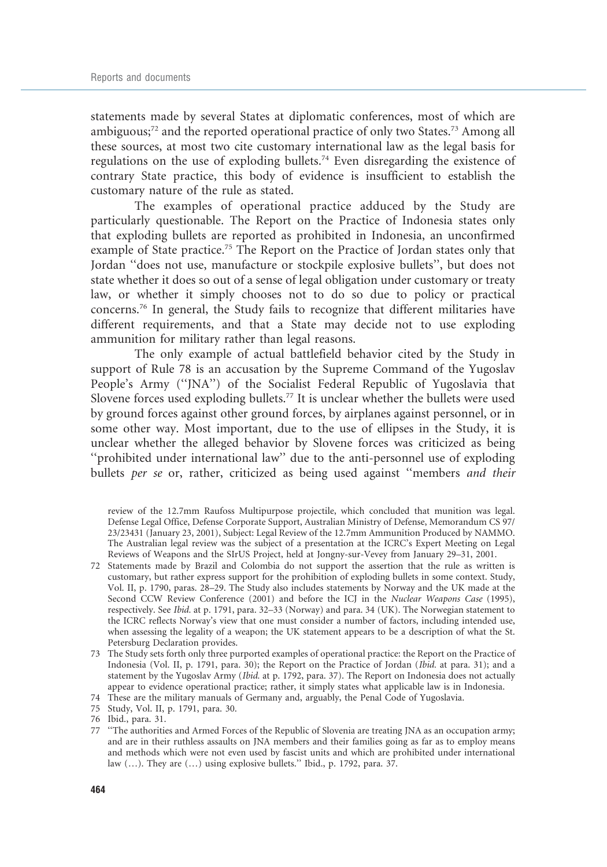statements made by several States at diplomatic conferences, most of which are ambiguous;<sup>72</sup> and the reported operational practice of only two States.<sup>73</sup> Among all these sources, at most two cite customary international law as the legal basis for regulations on the use of exploding bullets.74 Even disregarding the existence of contrary State practice, this body of evidence is insufficient to establish the customary nature of the rule as stated.

The examples of operational practice adduced by the Study are particularly questionable. The Report on the Practice of Indonesia states only that exploding bullets are reported as prohibited in Indonesia, an unconfirmed example of State practice.<sup>75</sup> The Report on the Practice of Jordan states only that Jordan ''does not use, manufacture or stockpile explosive bullets'', but does not state whether it does so out of a sense of legal obligation under customary or treaty law, or whether it simply chooses not to do so due to policy or practical concerns.76 In general, the Study fails to recognize that different militaries have different requirements, and that a State may decide not to use exploding ammunition for military rather than legal reasons.

The only example of actual battlefield behavior cited by the Study in support of Rule 78 is an accusation by the Supreme Command of the Yugoslav People's Army (''JNA'') of the Socialist Federal Republic of Yugoslavia that Slovene forces used exploding bullets.77 It is unclear whether the bullets were used by ground forces against other ground forces, by airplanes against personnel, or in some other way. Most important, due to the use of ellipses in the Study, it is unclear whether the alleged behavior by Slovene forces was criticized as being ''prohibited under international law'' due to the anti-personnel use of exploding bullets per se or, rather, criticized as being used against ''members and their

review of the 12.7mm Raufoss Multipurpose projectile, which concluded that munition was legal. Defense Legal Office, Defense Corporate Support, Australian Ministry of Defense, Memorandum CS 97/ 23/23431 (January 23, 2001), Subject: Legal Review of the 12.7mm Ammunition Produced by NAMMO. The Australian legal review was the subject of a presentation at the ICRC's Expert Meeting on Legal Reviews of Weapons and the SIrUS Project, held at Jongny-sur-Vevey from January 29–31, 2001.

72 Statements made by Brazil and Colombia do not support the assertion that the rule as written is customary, but rather express support for the prohibition of exploding bullets in some context. Study, Vol. II, p. 1790, paras. 28–29. The Study also includes statements by Norway and the UK made at the Second CCW Review Conference (2001) and before the ICJ in the Nuclear Weapons Case (1995), respectively. See Ibid. at p. 1791, para. 32–33 (Norway) and para. 34 (UK). The Norwegian statement to the ICRC reflects Norway's view that one must consider a number of factors, including intended use, when assessing the legality of a weapon; the UK statement appears to be a description of what the St. Petersburg Declaration provides.

- 74 These are the military manuals of Germany and, arguably, the Penal Code of Yugoslavia.
- 75 Study, Vol. II, p. 1791, para. 30.

<sup>73</sup> The Study sets forth only three purported examples of operational practice: the Report on the Practice of Indonesia (Vol. II, p. 1791, para. 30); the Report on the Practice of Jordan (Ibid. at para. 31); and a statement by the Yugoslav Army (Ibid. at p. 1792, para. 37). The Report on Indonesia does not actually appear to evidence operational practice; rather, it simply states what applicable law is in Indonesia.

<sup>76</sup> Ibid., para. 31.

<sup>77 &#</sup>x27;'The authorities and Armed Forces of the Republic of Slovenia are treating JNA as an occupation army; and are in their ruthless assaults on JNA members and their families going as far as to employ means and methods which were not even used by fascist units and which are prohibited under international law (...). They are (...) using explosive bullets." Ibid., p. 1792, para. 37.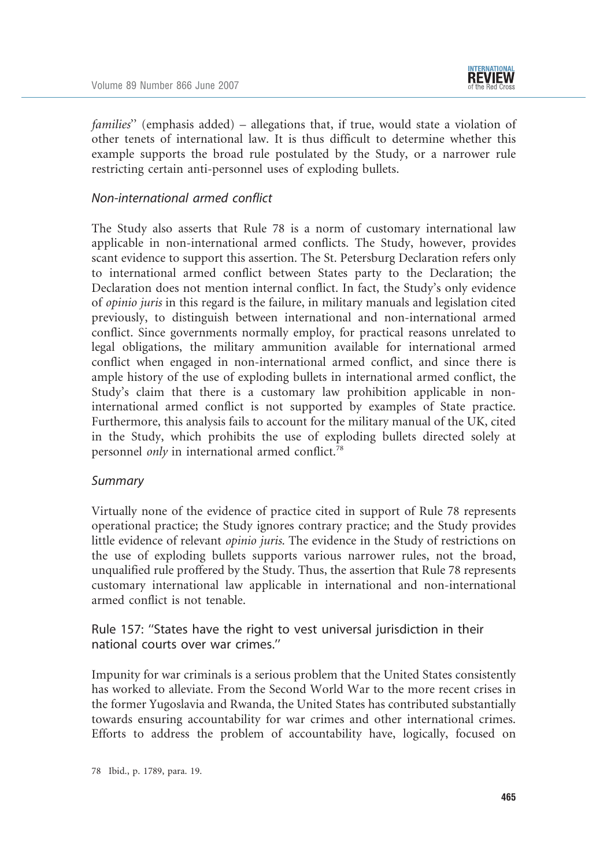

families'' (emphasis added) – allegations that, if true, would state a violation of other tenets of international law. It is thus difficult to determine whether this example supports the broad rule postulated by the Study, or a narrower rule restricting certain anti-personnel uses of exploding bullets.

# Non-international armed conflict

The Study also asserts that Rule 78 is a norm of customary international law applicable in non-international armed conflicts. The Study, however, provides scant evidence to support this assertion. The St. Petersburg Declaration refers only to international armed conflict between States party to the Declaration; the Declaration does not mention internal conflict. In fact, the Study's only evidence of opinio juris in this regard is the failure, in military manuals and legislation cited previously, to distinguish between international and non-international armed conflict. Since governments normally employ, for practical reasons unrelated to legal obligations, the military ammunition available for international armed conflict when engaged in non-international armed conflict, and since there is ample history of the use of exploding bullets in international armed conflict, the Study's claim that there is a customary law prohibition applicable in noninternational armed conflict is not supported by examples of State practice. Furthermore, this analysis fails to account for the military manual of the UK, cited in the Study, which prohibits the use of exploding bullets directed solely at personnel *only* in international armed conflict.<sup>78</sup>

#### **Summary**

Virtually none of the evidence of practice cited in support of Rule 78 represents operational practice; the Study ignores contrary practice; and the Study provides little evidence of relevant opinio juris. The evidence in the Study of restrictions on the use of exploding bullets supports various narrower rules, not the broad, unqualified rule proffered by the Study. Thus, the assertion that Rule 78 represents customary international law applicable in international and non-international armed conflict is not tenable.

Rule 157: ''States have the right to vest universal jurisdiction in their national courts over war crimes.''

Impunity for war criminals is a serious problem that the United States consistently has worked to alleviate. From the Second World War to the more recent crises in the former Yugoslavia and Rwanda, the United States has contributed substantially towards ensuring accountability for war crimes and other international crimes. Efforts to address the problem of accountability have, logically, focused on

78 Ibid., p. 1789, para. 19.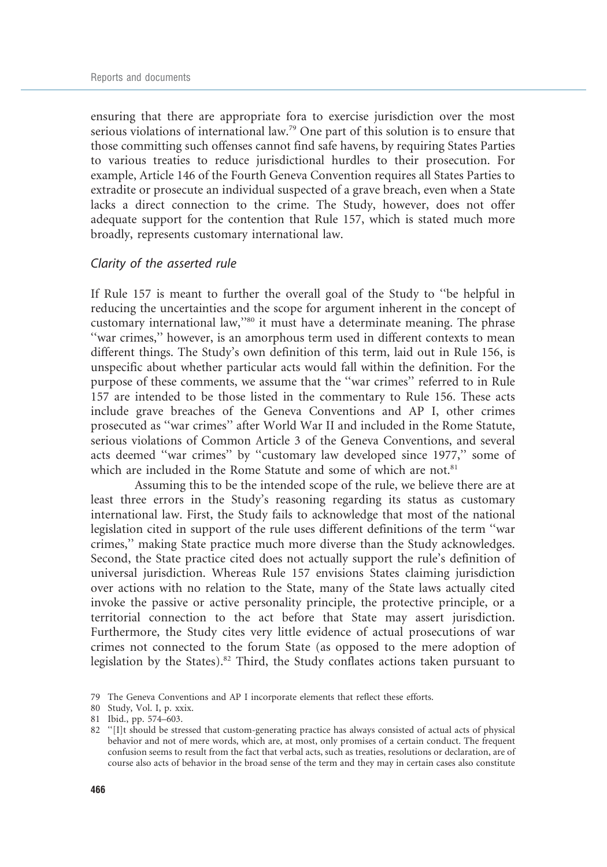ensuring that there are appropriate fora to exercise jurisdiction over the most serious violations of international law.<sup>79</sup> One part of this solution is to ensure that those committing such offenses cannot find safe havens, by requiring States Parties to various treaties to reduce jurisdictional hurdles to their prosecution. For example, Article 146 of the Fourth Geneva Convention requires all States Parties to extradite or prosecute an individual suspected of a grave breach, even when a State lacks a direct connection to the crime. The Study, however, does not offer adequate support for the contention that Rule 157, which is stated much more broadly, represents customary international law.

#### Clarity of the asserted rule

If Rule 157 is meant to further the overall goal of the Study to ''be helpful in reducing the uncertainties and the scope for argument inherent in the concept of customary international law,''80 it must have a determinate meaning. The phrase "war crimes," however, is an amorphous term used in different contexts to mean different things. The Study's own definition of this term, laid out in Rule 156, is unspecific about whether particular acts would fall within the definition. For the purpose of these comments, we assume that the ''war crimes'' referred to in Rule 157 are intended to be those listed in the commentary to Rule 156. These acts include grave breaches of the Geneva Conventions and AP I, other crimes prosecuted as ''war crimes'' after World War II and included in the Rome Statute, serious violations of Common Article 3 of the Geneva Conventions, and several acts deemed ''war crimes'' by ''customary law developed since 1977,'' some of which are included in the Rome Statute and some of which are not.<sup>81</sup>

Assuming this to be the intended scope of the rule, we believe there are at least three errors in the Study's reasoning regarding its status as customary international law. First, the Study fails to acknowledge that most of the national legislation cited in support of the rule uses different definitions of the term ''war crimes,'' making State practice much more diverse than the Study acknowledges. Second, the State practice cited does not actually support the rule's definition of universal jurisdiction. Whereas Rule 157 envisions States claiming jurisdiction over actions with no relation to the State, many of the State laws actually cited invoke the passive or active personality principle, the protective principle, or a territorial connection to the act before that State may assert jurisdiction. Furthermore, the Study cites very little evidence of actual prosecutions of war crimes not connected to the forum State (as opposed to the mere adoption of legislation by the States).82 Third, the Study conflates actions taken pursuant to

<sup>79</sup> The Geneva Conventions and AP I incorporate elements that reflect these efforts.

<sup>80</sup> Study, Vol. I, p. xxix.

<sup>81</sup> Ibid., pp. 574–603.

<sup>82 &#</sup>x27;'[I]t should be stressed that custom-generating practice has always consisted of actual acts of physical behavior and not of mere words, which are, at most, only promises of a certain conduct. The frequent confusion seems to result from the fact that verbal acts, such as treaties, resolutions or declaration, are of course also acts of behavior in the broad sense of the term and they may in certain cases also constitute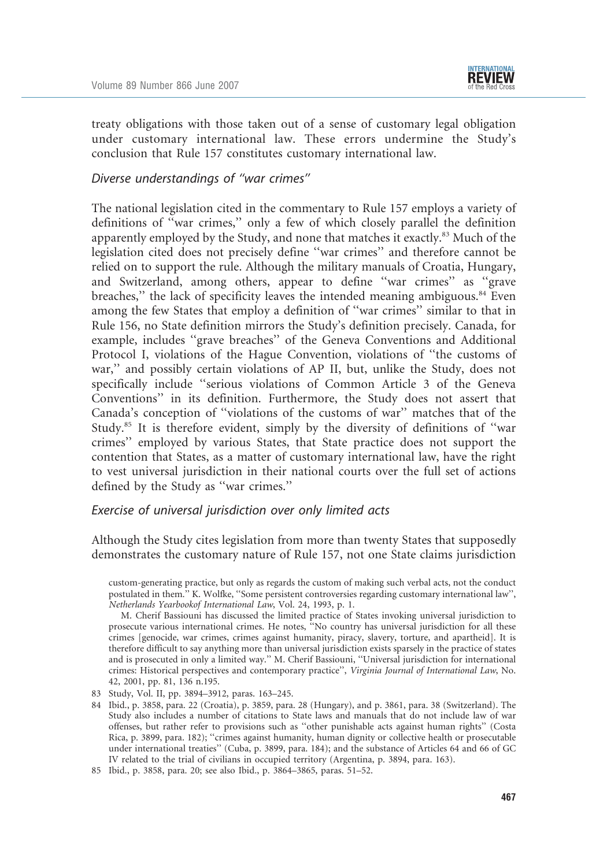

treaty obligations with those taken out of a sense of customary legal obligation under customary international law. These errors undermine the Study's conclusion that Rule 157 constitutes customary international law.

#### Diverse understandings of ''war crimes''

The national legislation cited in the commentary to Rule 157 employs a variety of definitions of ''war crimes,'' only a few of which closely parallel the definition apparently employed by the Study, and none that matches it exactly.<sup>83</sup> Much of the legislation cited does not precisely define ''war crimes'' and therefore cannot be relied on to support the rule. Although the military manuals of Croatia, Hungary, and Switzerland, among others, appear to define ''war crimes'' as ''grave breaches," the lack of specificity leaves the intended meaning ambiguous.<sup>84</sup> Even among the few States that employ a definition of ''war crimes'' similar to that in Rule 156, no State definition mirrors the Study's definition precisely. Canada, for example, includes ''grave breaches'' of the Geneva Conventions and Additional Protocol I, violations of the Hague Convention, violations of ''the customs of war,'' and possibly certain violations of AP II, but, unlike the Study, does not specifically include ''serious violations of Common Article 3 of the Geneva Conventions'' in its definition. Furthermore, the Study does not assert that Canada's conception of ''violations of the customs of war'' matches that of the Study.85 It is therefore evident, simply by the diversity of definitions of ''war crimes'' employed by various States, that State practice does not support the contention that States, as a matter of customary international law, have the right to vest universal jurisdiction in their national courts over the full set of actions defined by the Study as ''war crimes.''

#### Exercise of universal jurisdiction over only limited acts

Although the Study cites legislation from more than twenty States that supposedly demonstrates the customary nature of Rule 157, not one State claims jurisdiction

custom-generating practice, but only as regards the custom of making such verbal acts, not the conduct postulated in them.'' K. Wolfke, ''Some persistent controversies regarding customary international law'', Netherlands Yearbookof International Law, Vol. 24, 1993, p. 1.

M. Cherif Bassiouni has discussed the limited practice of States invoking universal jurisdiction to prosecute various international crimes. He notes, ''No country has universal jurisdiction for all these crimes [genocide, war crimes, crimes against humanity, piracy, slavery, torture, and apartheid]. It is therefore difficult to say anything more than universal jurisdiction exists sparsely in the practice of states and is prosecuted in only a limited way.'' M. Cherif Bassiouni, ''Universal jurisdiction for international crimes: Historical perspectives and contemporary practice", Virginia Journal of International Law, No. 42, 2001, pp. 81, 136 n.195.

<sup>83</sup> Study, Vol. II, pp. 3894–3912, paras. 163–245.

<sup>84</sup> Ibid., p. 3858, para. 22 (Croatia), p. 3859, para. 28 (Hungary), and p. 3861, para. 38 (Switzerland). The Study also includes a number of citations to State laws and manuals that do not include law of war offenses, but rather refer to provisions such as ''other punishable acts against human rights'' (Costa Rica, p. 3899, para. 182); ''crimes against humanity, human dignity or collective health or prosecutable under international treaties'' (Cuba, p. 3899, para. 184); and the substance of Articles 64 and 66 of GC IV related to the trial of civilians in occupied territory (Argentina, p. 3894, para. 163).

<sup>85</sup> Ibid., p. 3858, para. 20; see also Ibid., p. 3864–3865, paras. 51–52.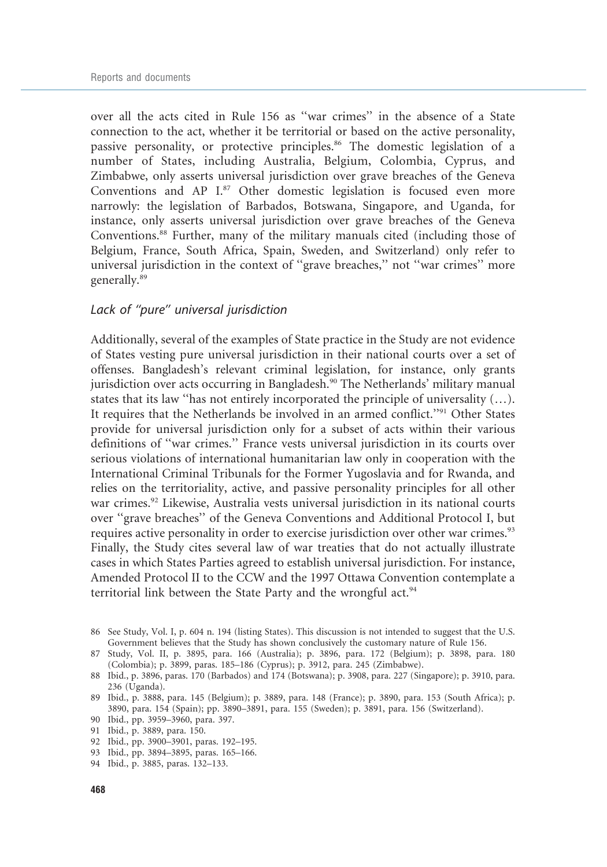over all the acts cited in Rule 156 as ''war crimes'' in the absence of a State connection to the act, whether it be territorial or based on the active personality, passive personality, or protective principles.<sup>86</sup> The domestic legislation of a number of States, including Australia, Belgium, Colombia, Cyprus, and Zimbabwe, only asserts universal jurisdiction over grave breaches of the Geneva Conventions and AP I.<sup>87</sup> Other domestic legislation is focused even more narrowly: the legislation of Barbados, Botswana, Singapore, and Uganda, for instance, only asserts universal jurisdiction over grave breaches of the Geneva Conventions.88 Further, many of the military manuals cited (including those of Belgium, France, South Africa, Spain, Sweden, and Switzerland) only refer to universal jurisdiction in the context of ''grave breaches,'' not ''war crimes'' more generally.<sup>89</sup>

#### Lack of ''pure'' universal jurisdiction

Additionally, several of the examples of State practice in the Study are not evidence of States vesting pure universal jurisdiction in their national courts over a set of offenses. Bangladesh's relevant criminal legislation, for instance, only grants jurisdiction over acts occurring in Bangladesh.<sup>90</sup> The Netherlands' military manual states that its law ''has not entirely incorporated the principle of universality (…). It requires that the Netherlands be involved in an armed conflict.''91 Other States provide for universal jurisdiction only for a subset of acts within their various definitions of ''war crimes.'' France vests universal jurisdiction in its courts over serious violations of international humanitarian law only in cooperation with the International Criminal Tribunals for the Former Yugoslavia and for Rwanda, and relies on the territoriality, active, and passive personality principles for all other war crimes.<sup>92</sup> Likewise, Australia vests universal jurisdiction in its national courts over ''grave breaches'' of the Geneva Conventions and Additional Protocol I, but requires active personality in order to exercise jurisdiction over other war crimes.<sup>93</sup> Finally, the Study cites several law of war treaties that do not actually illustrate cases in which States Parties agreed to establish universal jurisdiction. For instance, Amended Protocol II to the CCW and the 1997 Ottawa Convention contemplate a territorial link between the State Party and the wrongful act.<sup>94</sup>

92 Ibid., pp. 3900–3901, paras. 192–195.

<sup>86</sup> See Study, Vol. I, p. 604 n. 194 (listing States). This discussion is not intended to suggest that the U.S. Government believes that the Study has shown conclusively the customary nature of Rule 156.

<sup>87</sup> Study, Vol. II, p. 3895, para. 166 (Australia); p. 3896, para. 172 (Belgium); p. 3898, para. 180 (Colombia); p. 3899, paras. 185–186 (Cyprus); p. 3912, para. 245 (Zimbabwe).

<sup>88</sup> Ibid., p. 3896, paras. 170 (Barbados) and 174 (Botswana); p. 3908, para. 227 (Singapore); p. 3910, para. 236 (Uganda).

<sup>89</sup> Ibid., p. 3888, para. 145 (Belgium); p. 3889, para. 148 (France); p. 3890, para. 153 (South Africa); p. 3890, para. 154 (Spain); pp. 3890–3891, para. 155 (Sweden); p. 3891, para. 156 (Switzerland).

<sup>90</sup> Ibid., pp. 3959–3960, para. 397.

<sup>91</sup> Ibid., p. 3889, para. 150.

<sup>93</sup> Ibid., pp. 3894–3895, paras. 165–166.

<sup>94</sup> Ibid., p. 3885, paras. 132–133.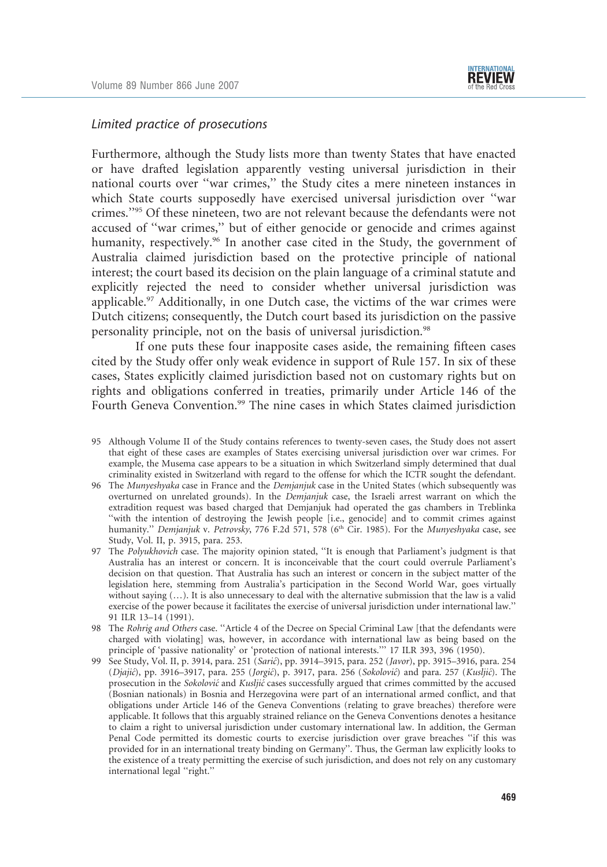

# Limited practice of prosecutions

Furthermore, although the Study lists more than twenty States that have enacted or have drafted legislation apparently vesting universal jurisdiction in their national courts over ''war crimes,'' the Study cites a mere nineteen instances in which State courts supposedly have exercised universal jurisdiction over ''war crimes.''95 Of these nineteen, two are not relevant because the defendants were not accused of ''war crimes,'' but of either genocide or genocide and crimes against humanity, respectively.<sup>96</sup> In another case cited in the Study, the government of Australia claimed jurisdiction based on the protective principle of national interest; the court based its decision on the plain language of a criminal statute and explicitly rejected the need to consider whether universal jurisdiction was applicable.97 Additionally, in one Dutch case, the victims of the war crimes were Dutch citizens; consequently, the Dutch court based its jurisdiction on the passive personality principle, not on the basis of universal jurisdiction.<sup>98</sup>

If one puts these four inapposite cases aside, the remaining fifteen cases cited by the Study offer only weak evidence in support of Rule 157. In six of these cases, States explicitly claimed jurisdiction based not on customary rights but on rights and obligations conferred in treaties, primarily under Article 146 of the Fourth Geneva Convention.<sup>99</sup> The nine cases in which States claimed jurisdiction

- 95 Although Volume II of the Study contains references to twenty-seven cases, the Study does not assert that eight of these cases are examples of States exercising universal jurisdiction over war crimes. For example, the Musema case appears to be a situation in which Switzerland simply determined that dual criminality existed in Switzerland with regard to the offense for which the ICTR sought the defendant.
- 96 The Munyeshyaka case in France and the Demjanjuk case in the United States (which subsequently was overturned on unrelated grounds). In the Demjanjuk case, the Israeli arrest warrant on which the extradition request was based charged that Demjanjuk had operated the gas chambers in Treblinka "with the intention of destroying the Jewish people [i.e., genocide] and to commit crimes against humanity." Demjanjuk v. Petrovsky, 776 F.2d 571, 578 (6<sup>th</sup> Cir. 1985). For the Munyeshyaka case, see Study, Vol. II, p. 3915, para. 253.
- 97 The Polyukhovich case. The majority opinion stated, ''It is enough that Parliament's judgment is that Australia has an interest or concern. It is inconceivable that the court could overrule Parliament's decision on that question. That Australia has such an interest or concern in the subject matter of the legislation here, stemming from Australia's participation in the Second World War, goes virtually without saying (…). It is also unnecessary to deal with the alternative submission that the law is a valid exercise of the power because it facilitates the exercise of universal jurisdiction under international law.'' 91 ILR 13–14 (1991).
- 98 The Rohrig and Others case. "Article 4 of the Decree on Special Criminal Law [that the defendants were charged with violating] was, however, in accordance with international law as being based on the principle of 'passive nationality' or 'protection of national interests.''' 17 ILR 393, 396 (1950).
- 99 See Study, Vol. II, p. 3914, para. 251 (Sarić), pp. 3914-3915, para. 252 (Javor), pp. 3915-3916, para. 254 (Djajić), pp. 3916-3917, para. 255 (Jorgić), p. 3917, para. 256 (Sokolović) and para. 257 (Kusljić). The prosecution in the Sokolović and Kusljić cases successfully argued that crimes committed by the accused (Bosnian nationals) in Bosnia and Herzegovina were part of an international armed conflict, and that obligations under Article 146 of the Geneva Conventions (relating to grave breaches) therefore were applicable. It follows that this arguably strained reliance on the Geneva Conventions denotes a hesitance to claim a right to universal jurisdiction under customary international law. In addition, the German Penal Code permitted its domestic courts to exercise jurisdiction over grave breaches ''if this was provided for in an international treaty binding on Germany''. Thus, the German law explicitly looks to the existence of a treaty permitting the exercise of such jurisdiction, and does not rely on any customary international legal "right."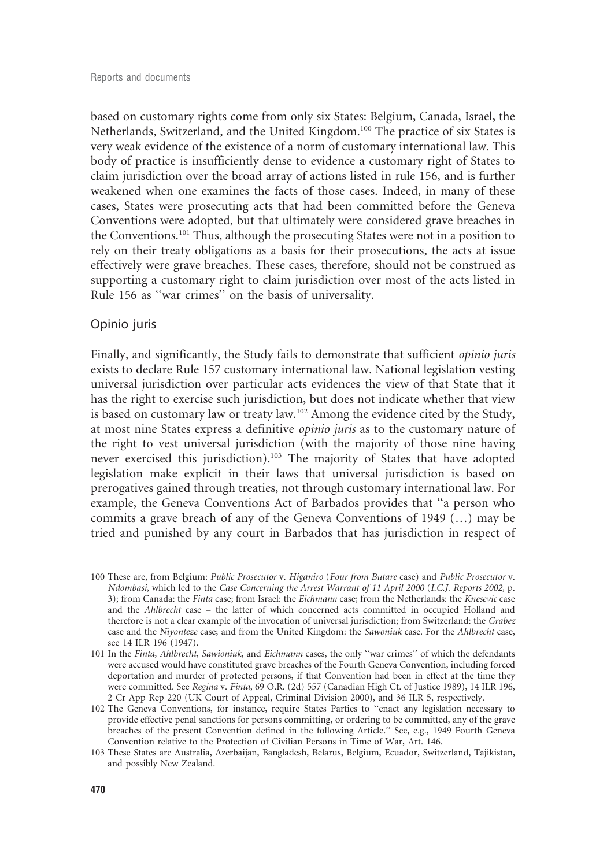based on customary rights come from only six States: Belgium, Canada, Israel, the Netherlands, Switzerland, and the United Kingdom.<sup>100</sup> The practice of six States is very weak evidence of the existence of a norm of customary international law. This body of practice is insufficiently dense to evidence a customary right of States to claim jurisdiction over the broad array of actions listed in rule 156, and is further weakened when one examines the facts of those cases. Indeed, in many of these cases, States were prosecuting acts that had been committed before the Geneva Conventions were adopted, but that ultimately were considered grave breaches in the Conventions.101 Thus, although the prosecuting States were not in a position to rely on their treaty obligations as a basis for their prosecutions, the acts at issue effectively were grave breaches. These cases, therefore, should not be construed as supporting a customary right to claim jurisdiction over most of the acts listed in Rule 156 as ''war crimes'' on the basis of universality.

#### Opinio juris

Finally, and significantly, the Study fails to demonstrate that sufficient opinio juris exists to declare Rule 157 customary international law. National legislation vesting universal jurisdiction over particular acts evidences the view of that State that it has the right to exercise such jurisdiction, but does not indicate whether that view is based on customary law or treaty law.102 Among the evidence cited by the Study, at most nine States express a definitive opinio juris as to the customary nature of the right to vest universal jurisdiction (with the majority of those nine having never exercised this jurisdiction).<sup>103</sup> The majority of States that have adopted legislation make explicit in their laws that universal jurisdiction is based on prerogatives gained through treaties, not through customary international law. For example, the Geneva Conventions Act of Barbados provides that ''a person who commits a grave breach of any of the Geneva Conventions of 1949 (…) may be tried and punished by any court in Barbados that has jurisdiction in respect of

<sup>100</sup> These are, from Belgium: Public Prosecutor v. Higaniro (Four from Butare case) and Public Prosecutor v. Ndombasi, which led to the Case Concerning the Arrest Warrant of 11 April 2000 (I.C.J. Reports 2002, p. 3); from Canada: the Finta case; from Israel: the Eichmann case; from the Netherlands: the Knesevic case and the Ahlbrecht case – the latter of which concerned acts committed in occupied Holland and therefore is not a clear example of the invocation of universal jurisdiction; from Switzerland: the Grabez case and the Niyonteze case; and from the United Kingdom: the Sawoniuk case. For the Ahlbrecht case, see 14 ILR 196 (1947).

<sup>101</sup> In the Finta, Ahlbrecht, Sawioniuk, and Eichmann cases, the only ''war crimes'' of which the defendants were accused would have constituted grave breaches of the Fourth Geneva Convention, including forced deportation and murder of protected persons, if that Convention had been in effect at the time they were committed. See Regina v. Finta, 69 O.R. (2d) 557 (Canadian High Ct. of Justice 1989), 14 ILR 196, 2 Cr App Rep 220 (UK Court of Appeal, Criminal Division 2000), and 36 ILR 5, respectively.

<sup>102</sup> The Geneva Conventions, for instance, require States Parties to ''enact any legislation necessary to provide effective penal sanctions for persons committing, or ordering to be committed, any of the grave breaches of the present Convention defined in the following Article.'' See, e.g., 1949 Fourth Geneva Convention relative to the Protection of Civilian Persons in Time of War, Art. 146.

<sup>103</sup> These States are Australia, Azerbaijan, Bangladesh, Belarus, Belgium, Ecuador, Switzerland, Tajikistan, and possibly New Zealand.